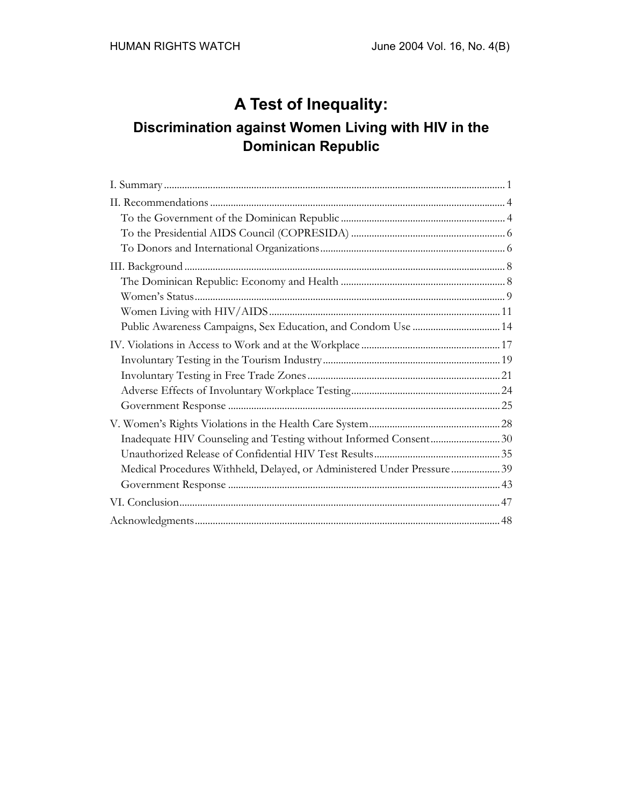# **A Test of Inequality:**

## **Discrimination against Women Living with HIV in the Dominican Republic**

| Public Awareness Campaigns, Sex Education, and Condom Use  14           |  |
|-------------------------------------------------------------------------|--|
|                                                                         |  |
|                                                                         |  |
|                                                                         |  |
|                                                                         |  |
|                                                                         |  |
|                                                                         |  |
|                                                                         |  |
|                                                                         |  |
| Medical Procedures Withheld, Delayed, or Administered Under Pressure 39 |  |
|                                                                         |  |
|                                                                         |  |
|                                                                         |  |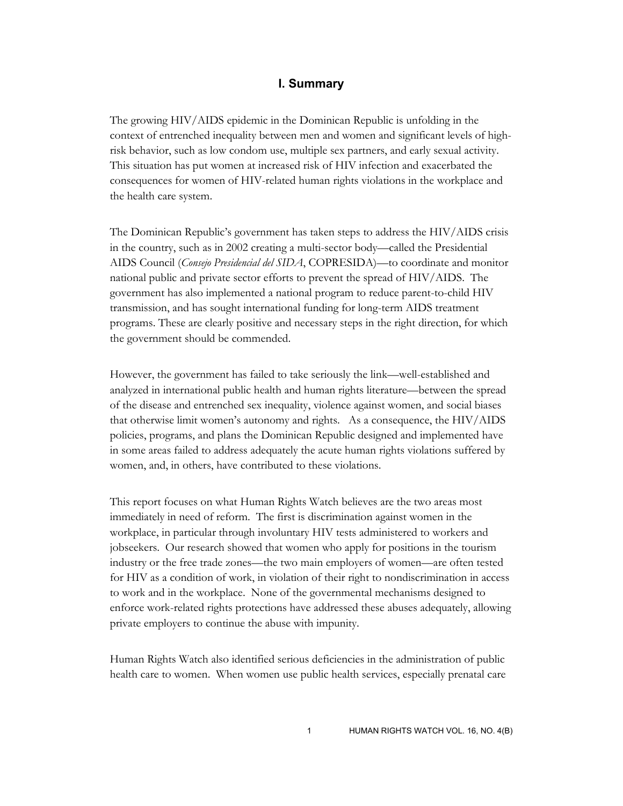## **I. Summary**

The growing HIV/AIDS epidemic in the Dominican Republic is unfolding in the context of entrenched inequality between men and women and significant levels of highrisk behavior, such as low condom use, multiple sex partners, and early sexual activity. This situation has put women at increased risk of HIV infection and exacerbated the consequences for women of HIV-related human rights violations in the workplace and the health care system.

The Dominican Republic's government has taken steps to address the HIV/AIDS crisis in the country, such as in 2002 creating a multi-sector body—called the Presidential AIDS Council (*Consejo Presidencial del SIDA*, COPRESIDA)—to coordinate and monitor national public and private sector efforts to prevent the spread of HIV/AIDS. The government has also implemented a national program to reduce parent-to-child HIV transmission, and has sought international funding for long-term AIDS treatment programs. These are clearly positive and necessary steps in the right direction, for which the government should be commended.

However, the government has failed to take seriously the link—well-established and analyzed in international public health and human rights literature—between the spread of the disease and entrenched sex inequality, violence against women, and social biases that otherwise limit women's autonomy and rights. As a consequence, the HIV/AIDS policies, programs, and plans the Dominican Republic designed and implemented have in some areas failed to address adequately the acute human rights violations suffered by women, and, in others, have contributed to these violations.

This report focuses on what Human Rights Watch believes are the two areas most immediately in need of reform. The first is discrimination against women in the workplace, in particular through involuntary HIV tests administered to workers and jobseekers. Our research showed that women who apply for positions in the tourism industry or the free trade zones—the two main employers of women—are often tested for HIV as a condition of work, in violation of their right to nondiscrimination in access to work and in the workplace. None of the governmental mechanisms designed to enforce work-related rights protections have addressed these abuses adequately, allowing private employers to continue the abuse with impunity.

Human Rights Watch also identified serious deficiencies in the administration of public health care to women. When women use public health services, especially prenatal care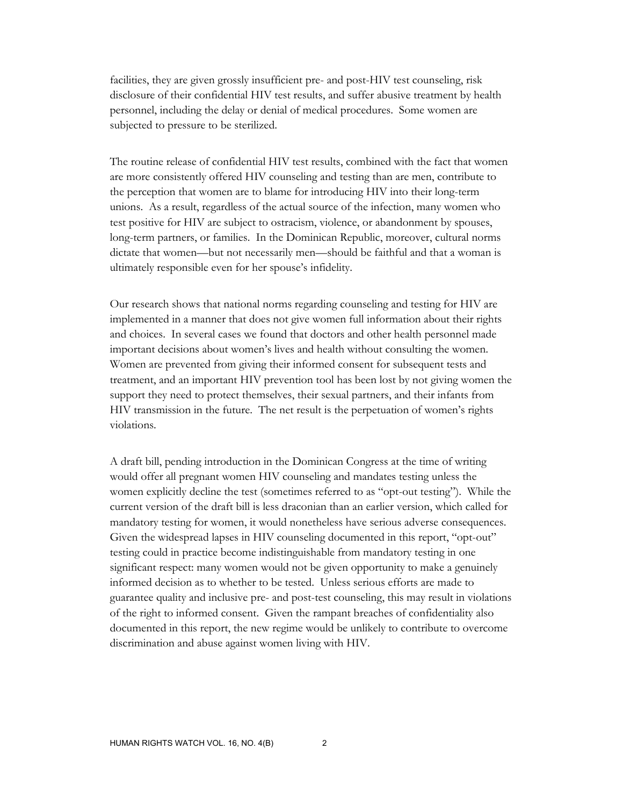facilities, they are given grossly insufficient pre- and post-HIV test counseling, risk disclosure of their confidential HIV test results, and suffer abusive treatment by health personnel, including the delay or denial of medical procedures. Some women are subjected to pressure to be sterilized.

The routine release of confidential HIV test results, combined with the fact that women are more consistently offered HIV counseling and testing than are men, contribute to the perception that women are to blame for introducing HIV into their long-term unions. As a result, regardless of the actual source of the infection, many women who test positive for HIV are subject to ostracism, violence, or abandonment by spouses, long-term partners, or families. In the Dominican Republic, moreover, cultural norms dictate that women—but not necessarily men—should be faithful and that a woman is ultimately responsible even for her spouse's infidelity.

Our research shows that national norms regarding counseling and testing for HIV are implemented in a manner that does not give women full information about their rights and choices. In several cases we found that doctors and other health personnel made important decisions about women's lives and health without consulting the women. Women are prevented from giving their informed consent for subsequent tests and treatment, and an important HIV prevention tool has been lost by not giving women the support they need to protect themselves, their sexual partners, and their infants from HIV transmission in the future. The net result is the perpetuation of women's rights violations.

A draft bill, pending introduction in the Dominican Congress at the time of writing would offer all pregnant women HIV counseling and mandates testing unless the women explicitly decline the test (sometimes referred to as "opt-out testing"). While the current version of the draft bill is less draconian than an earlier version, which called for mandatory testing for women, it would nonetheless have serious adverse consequences. Given the widespread lapses in HIV counseling documented in this report, "opt-out" testing could in practice become indistinguishable from mandatory testing in one significant respect: many women would not be given opportunity to make a genuinely informed decision as to whether to be tested. Unless serious efforts are made to guarantee quality and inclusive pre- and post-test counseling, this may result in violations of the right to informed consent. Given the rampant breaches of confidentiality also documented in this report, the new regime would be unlikely to contribute to overcome discrimination and abuse against women living with HIV.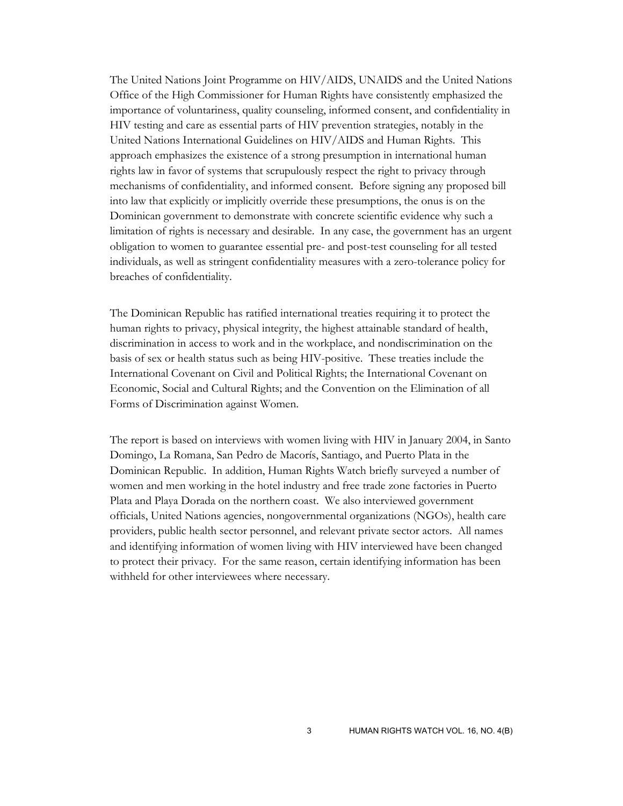The United Nations Joint Programme on HIV/AIDS, UNAIDS and the United Nations Office of the High Commissioner for Human Rights have consistently emphasized the importance of voluntariness, quality counseling, informed consent, and confidentiality in HIV testing and care as essential parts of HIV prevention strategies, notably in the United Nations International Guidelines on HIV/AIDS and Human Rights. This approach emphasizes the existence of a strong presumption in international human rights law in favor of systems that scrupulously respect the right to privacy through mechanisms of confidentiality, and informed consent. Before signing any proposed bill into law that explicitly or implicitly override these presumptions, the onus is on the Dominican government to demonstrate with concrete scientific evidence why such a limitation of rights is necessary and desirable. In any case, the government has an urgent obligation to women to guarantee essential pre- and post-test counseling for all tested individuals, as well as stringent confidentiality measures with a zero-tolerance policy for breaches of confidentiality.

The Dominican Republic has ratified international treaties requiring it to protect the human rights to privacy, physical integrity, the highest attainable standard of health, discrimination in access to work and in the workplace, and nondiscrimination on the basis of sex or health status such as being HIV-positive. These treaties include the International Covenant on Civil and Political Rights; the International Covenant on Economic, Social and Cultural Rights; and the Convention on the Elimination of all Forms of Discrimination against Women.

The report is based on interviews with women living with HIV in January 2004, in Santo Domingo, La Romana, San Pedro de Macorís, Santiago, and Puerto Plata in the Dominican Republic. In addition, Human Rights Watch briefly surveyed a number of women and men working in the hotel industry and free trade zone factories in Puerto Plata and Playa Dorada on the northern coast. We also interviewed government officials, United Nations agencies, nongovernmental organizations (NGOs), health care providers, public health sector personnel, and relevant private sector actors. All names and identifying information of women living with HIV interviewed have been changed to protect their privacy. For the same reason, certain identifying information has been withheld for other interviewees where necessary.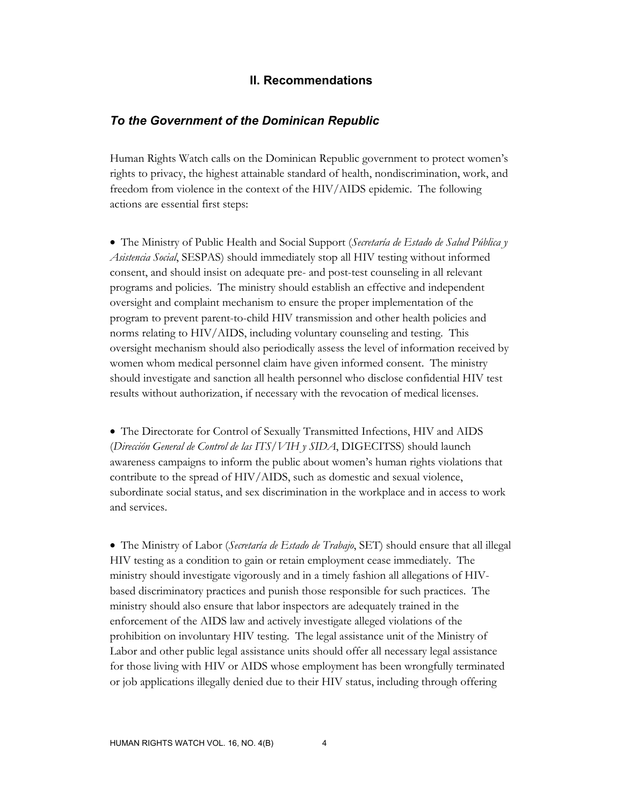## **II. Recommendations**

#### *To the Government of the Dominican Republic*

Human Rights Watch calls on the Dominican Republic government to protect women's rights to privacy, the highest attainable standard of health, nondiscrimination, work, and freedom from violence in the context of the HIV/AIDS epidemic. The following actions are essential first steps:

• The Ministry of Public Health and Social Support (*Secretaría de Estado de Salud Pública y Asistencia Social*, SESPAS) should immediately stop all HIV testing without informed consent, and should insist on adequate pre- and post-test counseling in all relevant programs and policies. The ministry should establish an effective and independent oversight and complaint mechanism to ensure the proper implementation of the program to prevent parent-to-child HIV transmission and other health policies and norms relating to HIV/AIDS, including voluntary counseling and testing. This oversight mechanism should also periodically assess the level of information received by women whom medical personnel claim have given informed consent. The ministry should investigate and sanction all health personnel who disclose confidential HIV test results without authorization, if necessary with the revocation of medical licenses.

• The Directorate for Control of Sexually Transmitted Infections, HIV and AIDS (*Dirección General de Control de las ITS/VIH y SIDA*, DIGECITSS) should launch awareness campaigns to inform the public about women's human rights violations that contribute to the spread of HIV/AIDS, such as domestic and sexual violence, subordinate social status, and sex discrimination in the workplace and in access to work and services.

• The Ministry of Labor (*Secretaría de Estado de Trabajo*, SET) should ensure that all illegal HIV testing as a condition to gain or retain employment cease immediately. The ministry should investigate vigorously and in a timely fashion all allegations of HIVbased discriminatory practices and punish those responsible for such practices. The ministry should also ensure that labor inspectors are adequately trained in the enforcement of the AIDS law and actively investigate alleged violations of the prohibition on involuntary HIV testing. The legal assistance unit of the Ministry of Labor and other public legal assistance units should offer all necessary legal assistance for those living with HIV or AIDS whose employment has been wrongfully terminated or job applications illegally denied due to their HIV status, including through offering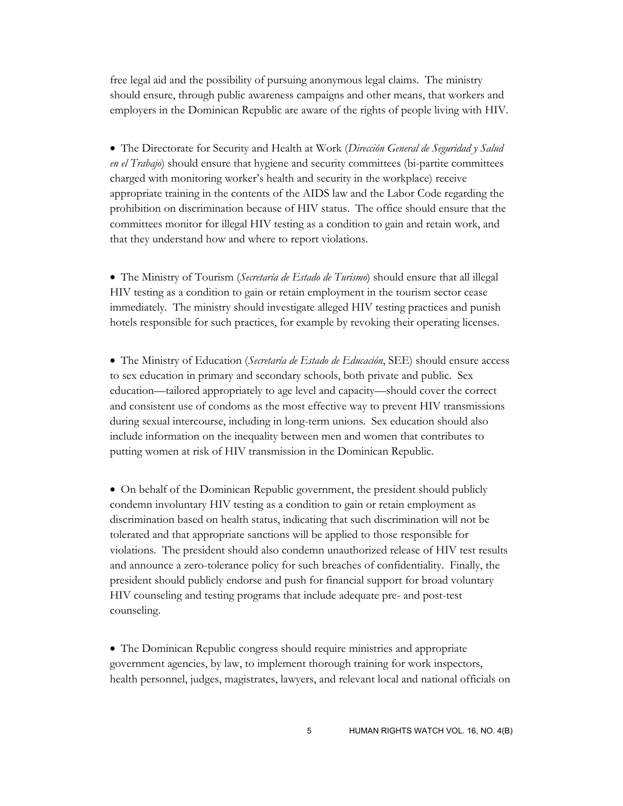free legal aid and the possibility of pursuing anonymous legal claims. The ministry should ensure, through public awareness campaigns and other means, that workers and employers in the Dominican Republic are aware of the rights of people living with HIV.

• The Directorate for Security and Health at Work (*Dirección General de Seguridad y Salud en el Trabajo*) should ensure that hygiene and security committees (bi-partite committees charged with monitoring worker's health and security in the workplace) receive appropriate training in the contents of the AIDS law and the Labor Code regarding the prohibition on discrimination because of HIV status. The office should ensure that the committees monitor for illegal HIV testing as a condition to gain and retain work, and that they understand how and where to report violations.

• The Ministry of Tourism (*Secretaría de Estado de Turismo*) should ensure that all illegal HIV testing as a condition to gain or retain employment in the tourism sector cease immediately. The ministry should investigate alleged HIV testing practices and punish hotels responsible for such practices, for example by revoking their operating licenses.

• The Ministry of Education (*Secretaría de Estado de Educación*, SEE) should ensure access to sex education in primary and secondary schools, both private and public. Sex education—tailored appropriately to age level and capacity—should cover the correct and consistent use of condoms as the most effective way to prevent HIV transmissions during sexual intercourse, including in long-term unions. Sex education should also include information on the inequality between men and women that contributes to putting women at risk of HIV transmission in the Dominican Republic.

• On behalf of the Dominican Republic government, the president should publicly condemn involuntary HIV testing as a condition to gain or retain employment as discrimination based on health status, indicating that such discrimination will not be tolerated and that appropriate sanctions will be applied to those responsible for violations. The president should also condemn unauthorized release of HIV test results and announce a zero-tolerance policy for such breaches of confidentiality. Finally, the president should publicly endorse and push for financial support for broad voluntary HIV counseling and testing programs that include adequate pre- and post-test counseling.

• The Dominican Republic congress should require ministries and appropriate government agencies, by law, to implement thorough training for work inspectors, health personnel, judges, magistrates, lawyers, and relevant local and national officials on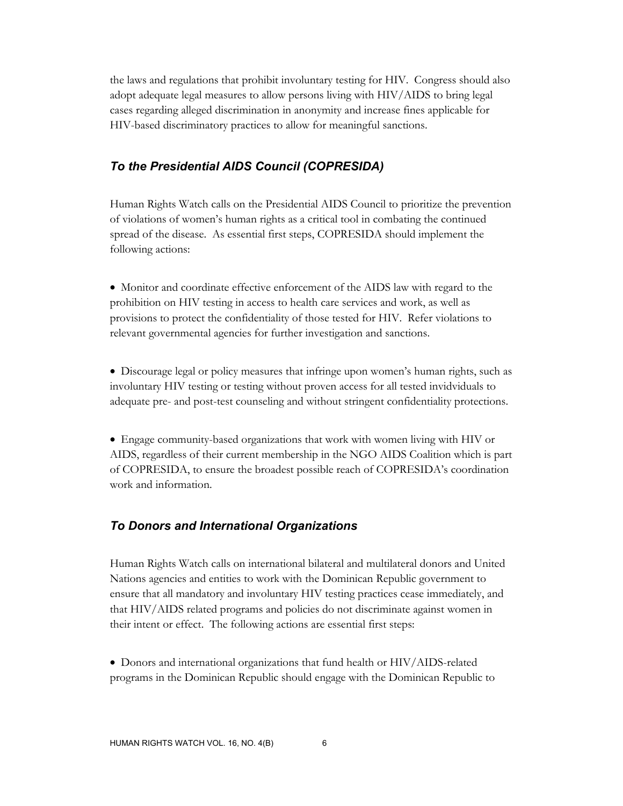the laws and regulations that prohibit involuntary testing for HIV. Congress should also adopt adequate legal measures to allow persons living with HIV/AIDS to bring legal cases regarding alleged discrimination in anonymity and increase fines applicable for HIV-based discriminatory practices to allow for meaningful sanctions.

## *To the Presidential AIDS Council (COPRESIDA)*

Human Rights Watch calls on the Presidential AIDS Council to prioritize the prevention of violations of women's human rights as a critical tool in combating the continued spread of the disease. As essential first steps, COPRESIDA should implement the following actions:

• Monitor and coordinate effective enforcement of the AIDS law with regard to the prohibition on HIV testing in access to health care services and work, as well as provisions to protect the confidentiality of those tested for HIV. Refer violations to relevant governmental agencies for further investigation and sanctions.

• Discourage legal or policy measures that infringe upon women's human rights, such as involuntary HIV testing or testing without proven access for all tested invidviduals to adequate pre- and post-test counseling and without stringent confidentiality protections.

• Engage community-based organizations that work with women living with HIV or AIDS, regardless of their current membership in the NGO AIDS Coalition which is part of COPRESIDA, to ensure the broadest possible reach of COPRESIDA's coordination work and information.

## *To Donors and International Organizations*

Human Rights Watch calls on international bilateral and multilateral donors and United Nations agencies and entities to work with the Dominican Republic government to ensure that all mandatory and involuntary HIV testing practices cease immediately, and that HIV/AIDS related programs and policies do not discriminate against women in their intent or effect. The following actions are essential first steps:

• Donors and international organizations that fund health or HIV/AIDS-related programs in the Dominican Republic should engage with the Dominican Republic to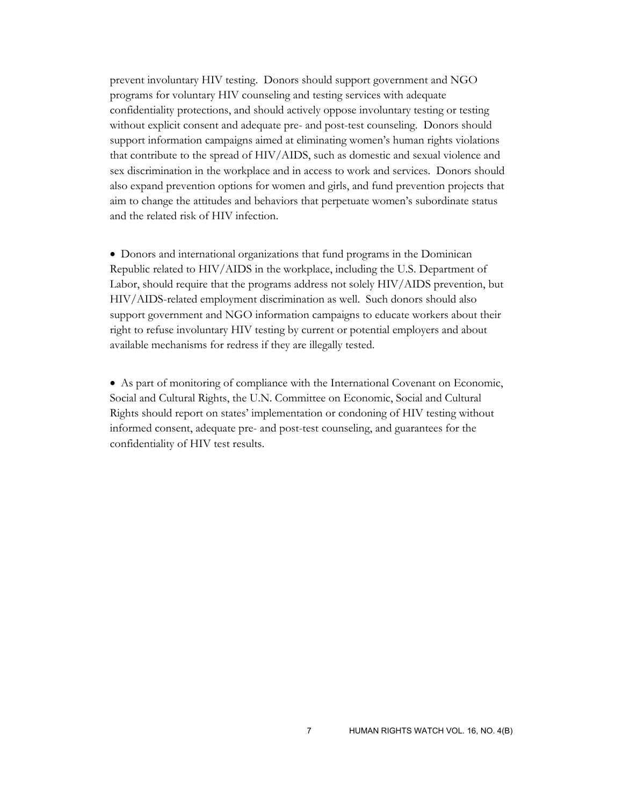prevent involuntary HIV testing. Donors should support government and NGO programs for voluntary HIV counseling and testing services with adequate confidentiality protections, and should actively oppose involuntary testing or testing without explicit consent and adequate pre- and post-test counseling. Donors should support information campaigns aimed at eliminating women's human rights violations that contribute to the spread of HIV/AIDS, such as domestic and sexual violence and sex discrimination in the workplace and in access to work and services. Donors should also expand prevention options for women and girls, and fund prevention projects that aim to change the attitudes and behaviors that perpetuate women's subordinate status and the related risk of HIV infection.

• Donors and international organizations that fund programs in the Dominican Republic related to HIV/AIDS in the workplace, including the U.S. Department of Labor, should require that the programs address not solely HIV/AIDS prevention, but HIV/AIDS-related employment discrimination as well. Such donors should also support government and NGO information campaigns to educate workers about their right to refuse involuntary HIV testing by current or potential employers and about available mechanisms for redress if they are illegally tested.

• As part of monitoring of compliance with the International Covenant on Economic, Social and Cultural Rights, the U.N. Committee on Economic, Social and Cultural Rights should report on states' implementation or condoning of HIV testing without informed consent, adequate pre- and post-test counseling, and guarantees for the confidentiality of HIV test results.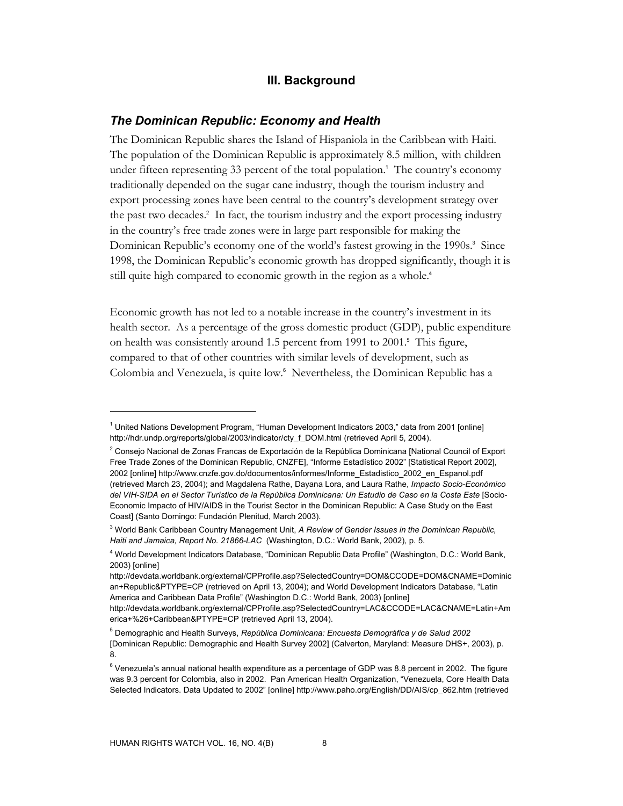## **III. Background**

#### *The Dominican Republic: Economy and Health*

The Dominican Republic shares the Island of Hispaniola in the Caribbean with Haiti. The population of the Dominican Republic is approximately 8.5 million, with children under fifteen representing 33 percent of the total population.<sup>1</sup> The country's economy traditionally depended on the sugar cane industry, though the tourism industry and export processing zones have been central to the country's development strategy over the past two decades.<sup>2</sup> In fact, the tourism industry and the export processing industry in the country's free trade zones were in large part responsible for making the Dominican Republic's economy one of the world's fastest growing in the 1990s.<sup>3</sup> Since 1998, the Dominican Republic's economic growth has dropped significantly, though it is still quite high compared to economic growth in the region as a whole.<sup>4</sup>

Economic growth has not led to a notable increase in the country's investment in its health sector. As a percentage of the gross domestic product (GDP), public expenditure on health was consistently around 1.5 percent from 1991 to 2001.<sup>5</sup> This figure, compared to that of other countries with similar levels of development, such as Colombia and Venezuela, is quite low.<sup>6</sup> Nevertheless, the Dominican Republic has a

<sup>&</sup>lt;sup>1</sup> United Nations Development Program, "Human Development Indicators 2003," data from 2001 [online] http://hdr.undp.org/reports/global/2003/indicator/cty\_f\_DOM.html (retrieved April 5, 2004).

 $^2$  Consejo Nacional de Zonas Francas de Exportación de la República Dominicana [National Council of Export Free Trade Zones of the Dominican Republic, CNZFE], "Informe Estadístico 2002" [Statistical Report 2002], 2002 [online] http://www.cnzfe.gov.do/documentos/informes/Informe\_Estadistico\_2002\_en\_Espanol.pdf (retrieved March 23, 2004); and Magdalena Rathe, Dayana Lora, and Laura Rathe, *Impacto Socio-Económico del VIH-SIDA en el Sector Turístico de la República Dominicana: Un Estudio de Caso en la Costa Este* [Socio-Economic Impacto of HIV/AIDS in the Tourist Sector in the Dominican Republic: A Case Study on the East Coast] (Santo Domingo: Fundación Plenitud, March 2003).

<sup>3</sup> World Bank Caribbean Country Management Unit, *A Review of Gender Issues in the Dominican Republic, Haiti and Jamaica, Report No. 21866-LAC* (Washington, D.C.: World Bank, 2002), p. 5.

<sup>4</sup> World Development Indicators Database, "Dominican Republic Data Profile" (Washington, D.C.: World Bank, 2003) [online]

http://devdata.worldbank.org/external/CPProfile.asp?SelectedCountry=DOM&CCODE=DOM&CNAME=Dominic an+Republic&PTYPE=CP (retrieved on April 13, 2004); and World Development Indicators Database, "Latin America and Caribbean Data Profile" (Washington D.C.: World Bank, 2003) [online]

http://devdata.worldbank.org/external/CPProfile.asp?SelectedCountry=LAC&CCODE=LAC&CNAME=Latin+Am erica+%26+Caribbean&PTYPE=CP (retrieved April 13, 2004).

<sup>5</sup> Demographic and Health Surveys, *República Dominicana: Encuesta Demográfica y de Salud 2002*  [Dominican Republic: Demographic and Health Survey 2002] (Calverton, Maryland: Measure DHS+, 2003), p. 8.

 $^6$  Venezuela's annual national health expenditure as a percentage of GDP was 8.8 percent in 2002. The figure was 9.3 percent for Colombia, also in 2002. Pan American Health Organization, "Venezuela, Core Health Data Selected Indicators. Data Updated to 2002" [online] http://www.paho.org/English/DD/AIS/cp\_862.htm (retrieved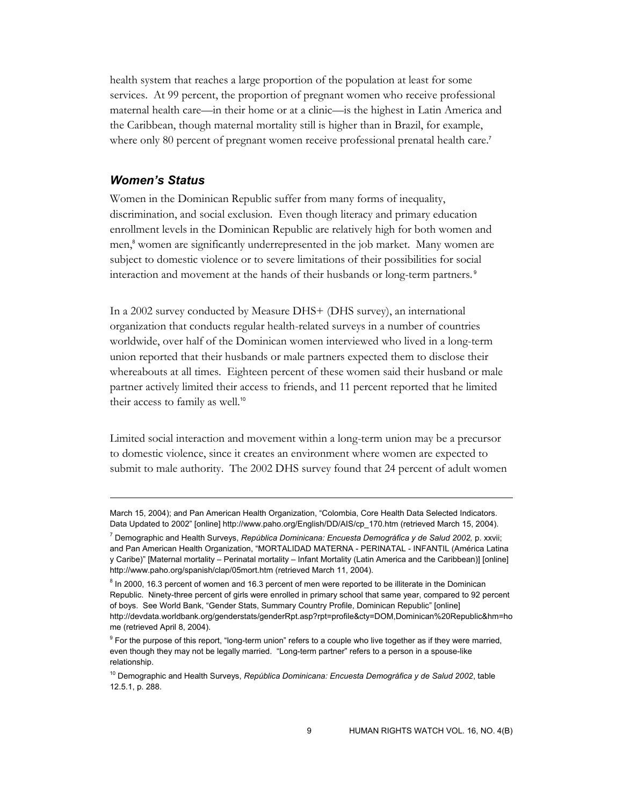health system that reaches a large proportion of the population at least for some services. At 99 percent, the proportion of pregnant women who receive professional maternal health care—in their home or at a clinic—is the highest in Latin America and the Caribbean, though maternal mortality still is higher than in Brazil, for example, where only 80 percent of pregnant women receive professional prenatal health care.<sup>7</sup>

## *Women's Status*

 $\overline{a}$ 

Women in the Dominican Republic suffer from many forms of inequality, discrimination, and social exclusion. Even though literacy and primary education enrollment levels in the Dominican Republic are relatively high for both women and men,<sup>8</sup> women are significantly underrepresented in the job market. Many women are subject to domestic violence or to severe limitations of their possibilities for social interaction and movement at the hands of their husbands or long-term partners.<sup>9</sup>

In a 2002 survey conducted by Measure DHS+ (DHS survey), an international organization that conducts regular health-related surveys in a number of countries worldwide, over half of the Dominican women interviewed who lived in a long-term union reported that their husbands or male partners expected them to disclose their whereabouts at all times. Eighteen percent of these women said their husband or male partner actively limited their access to friends, and 11 percent reported that he limited their access to family as well.<sup>10</sup>

Limited social interaction and movement within a long-term union may be a precursor to domestic violence, since it creates an environment where women are expected to submit to male authority. The 2002 DHS survey found that 24 percent of adult women

March 15, 2004); and Pan American Health Organization, "Colombia, Core Health Data Selected Indicators. Data Updated to 2002" [online] http://www.paho.org/English/DD/AIS/cp\_170.htm (retrieved March 15, 2004).

<sup>&</sup>lt;sup>7</sup> Demographic and Health Surveys, *República Dominicana: Encuesta Demográfica y de Salud 2002, p. xxvii;* and Pan American Health Organization, "MORTALIDAD MATERNA - PERINATAL - INFANTIL (América Latina y Caribe)" [Maternal mortality – Perinatal mortality – Infant Mortality (Latin America and the Caribbean)] [online] http://www.paho.org/spanish/clap/05mort.htm (retrieved March 11, 2004).

<sup>&</sup>lt;sup>8</sup> In 2000, 16.3 percent of women and 16.3 percent of men were reported to be illiterate in the Dominican Republic. Ninety-three percent of girls were enrolled in primary school that same year, compared to 92 percent of boys. See World Bank, "Gender Stats, Summary Country Profile, Dominican Republic" [online] http://devdata.worldbank.org/genderstats/genderRpt.asp?rpt=profile&cty=DOM,Dominican%20Republic&hm=ho me (retrieved April 8, 2004).

<sup>&</sup>lt;sup>9</sup> For the purpose of this report, "long-term union" refers to a couple who live together as if they were married, even though they may not be legally married. "Long-term partner" refers to a person in a spouse-like relationship.

<sup>10</sup> Demographic and Health Surveys, *República Dominicana: Encuesta Demográfica y de Salud 2002*, table 12.5.1, p. 288.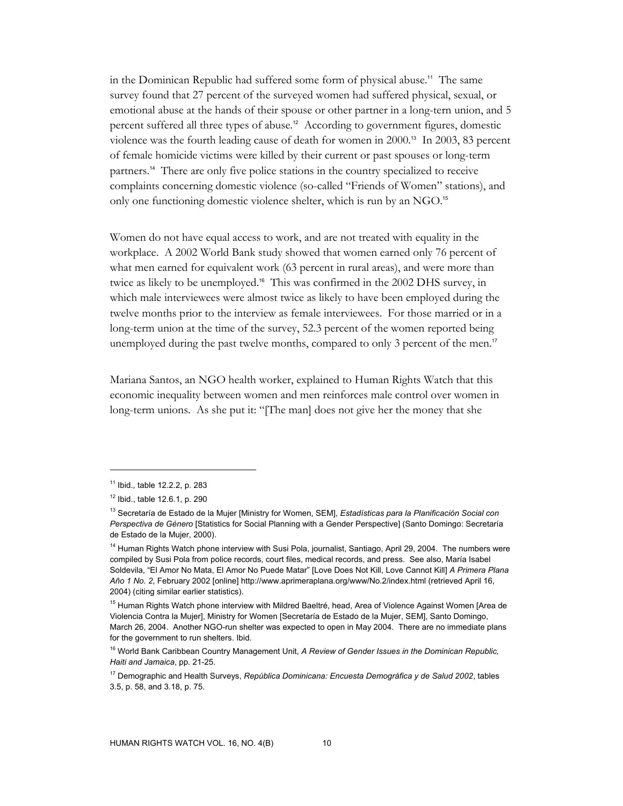in the Dominican Republic had suffered some form of physical abuse.<sup>11</sup> The same survey found that 27 percent of the surveyed women had suffered physical, sexual, or emotional abuse at the hands of their spouse or other partner in a long-tern union, and 5 percent suffered all three types of abuse.12 According to government figures, domestic violence was the fourth leading cause of death for women in 2000.13 In 2003, 83 percent of female homicide victims were killed by their current or past spouses or long-term partners.14 There are only five police stations in the country specialized to receive complaints concerning domestic violence (so-called "Friends of Women" stations), and only one functioning domestic violence shelter, which is run by an NGO.<sup>15</sup>

Women do not have equal access to work, and are not treated with equality in the workplace. A 2002 World Bank study showed that women earned only 76 percent of what men earned for equivalent work (63 percent in rural areas), and were more than twice as likely to be unemployed.16 This was confirmed in the 2002 DHS survey, in which male interviewees were almost twice as likely to have been employed during the twelve months prior to the interview as female interviewees. For those married or in a long-term union at the time of the survey, 52.3 percent of the women reported being unemployed during the past twelve months, compared to only 3 percent of the men.<sup>17</sup>

Mariana Santos, an NGO health worker, explained to Human Rights Watch that this economic inequality between women and men reinforces male control over women in long-term unions. As she put it: "[The man] does not give her the money that she

<sup>11</sup> Ibid.*,* table 12.2.2, p. 283

<sup>12</sup> Ibid., table 12.6.1, p. 290

<sup>13</sup> Secretaría de Estado de la Mujer [Ministry for Women, SEM], *Estadísticas para la Planificación Social con Perspectiva de Género* [Statistics for Social Planning with a Gender Perspective] (Santo Domingo: Secretaría de Estado de la Mujer, 2000).

<sup>&</sup>lt;sup>14</sup> Human Rights Watch phone interview with Susi Pola, journalist, Santiago, April 29, 2004. The numbers were compiled by Susi Pola from police records, court files, medical records, and press. See also, María Isabel Soldevila, "El Amor No Mata, El Amor No Puede Matar" [Love Does Not Kill, Love Cannot Kill] *A Primera Plana Año 1 No. 2*, February 2002 [online] http://www.aprimeraplana.org/www/No.2/index.html (retrieved April 16, 2004) (citing similar earlier statistics).

<sup>&</sup>lt;sup>15</sup> Human Rights Watch phone interview with Mildred Baeltré, head, Area of Violence Against Women [Area de Violencia Contra la Mujer], Ministry for Women [Secretaría de Estado de la Mujer, SEM], Santo Domingo, March 26, 2004. Another NGO-run shelter was expected to open in May 2004. There are no immediate plans for the government to run shelters. Ibid.

<sup>16</sup> World Bank Caribbean Country Management Unit, *A Review of Gender Issues in the Dominican Republic, Haiti and Jamaica*, pp. 21-25.

<sup>17</sup> Demographic and Health Surveys, *República Dominicana: Encuesta Demográfica y de Salud 2002*, tables 3.5, p. 58, and 3.18, p. 75.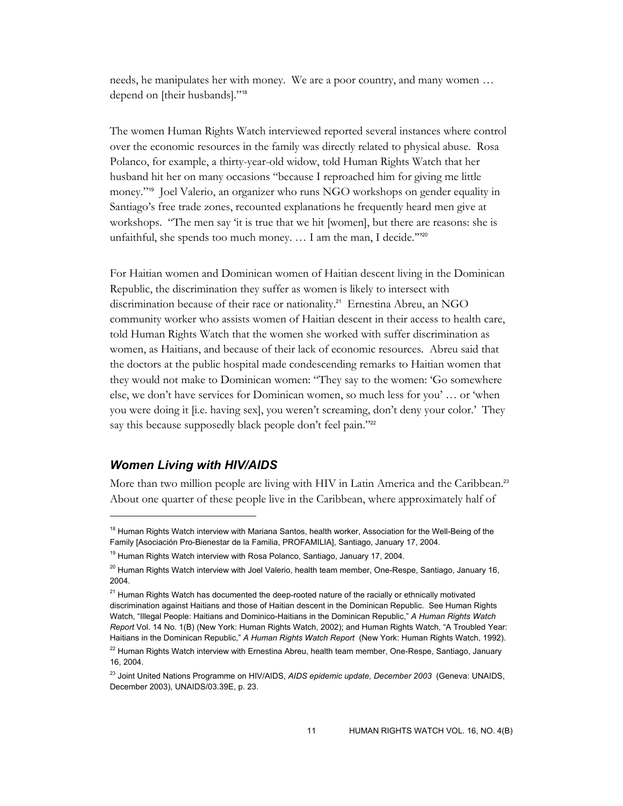needs, he manipulates her with money. We are a poor country, and many women … depend on [their husbands]."<sup>18</sup>

The women Human Rights Watch interviewed reported several instances where control over the economic resources in the family was directly related to physical abuse. Rosa Polanco, for example, a thirty-year-old widow, told Human Rights Watch that her husband hit her on many occasions "because I reproached him for giving me little money."19 Joel Valerio, an organizer who runs NGO workshops on gender equality in Santiago's free trade zones, recounted explanations he frequently heard men give at workshops. "The men say 'it is true that we hit [women], but there are reasons: she is unfaithful, she spends too much money. ... I am the man, I decide."<sup>200</sup>

For Haitian women and Dominican women of Haitian descent living in the Dominican Republic, the discrimination they suffer as women is likely to intersect with discrimination because of their race or nationality.<sup>21</sup> Ernestina Abreu, an NGO community worker who assists women of Haitian descent in their access to health care, told Human Rights Watch that the women she worked with suffer discrimination as women, as Haitians, and because of their lack of economic resources. Abreu said that the doctors at the public hospital made condescending remarks to Haitian women that they would not make to Dominican women: "They say to the women: 'Go somewhere else, we don't have services for Dominican women, so much less for you' … or 'when you were doing it [i.e. having sex], you weren't screaming, don't deny your color.' They say this because supposedly black people don't feel pain."22

## *Women Living with HIV/AIDS*

 $\ddot{\phantom{a}}$ 

More than two million people are living with HIV in Latin America and the Caribbean.<sup>23</sup> About one quarter of these people live in the Caribbean, where approximately half of

<sup>&</sup>lt;sup>18</sup> Human Rights Watch interview with Mariana Santos, health worker, Association for the Well-Being of the Family [Asociación Pro-Bienestar de la Familia, PROFAMILIA], Santiago, January 17, 2004.

 $19$  Human Rights Watch interview with Rosa Polanco, Santiago, January 17, 2004.

 $^{20}$  Human Rights Watch interview with Joel Valerio, health team member, One-Respe, Santiago, January 16, 2004.

<sup>&</sup>lt;sup>21</sup> Human Rights Watch has documented the deep-rooted nature of the racially or ethnically motivated discrimination against Haitians and those of Haitian descent in the Dominican Republic. See Human Rights Watch, "Illegal People: Haitians and Dominico-Haitians in the Dominican Republic," *A Human Rights Watch Report* Vol. 14 No. 1(B) (New York: Human Rights Watch, 2002); and Human Rights Watch, "A Troubled Year: Haitians in the Dominican Republic," *A Human Rights Watch Report* (New York: Human Rights Watch, 1992).

 $^{22}$  Human Rights Watch interview with Ernestina Abreu, health team member, One-Respe, Santiago, January 16, 2004.

<sup>23</sup> Joint United Nations Programme on HIV/AIDS, *AIDS epidemic update, December 2003* (Geneva: UNAIDS, December 2003), UNAIDS/03.39E, p. 23.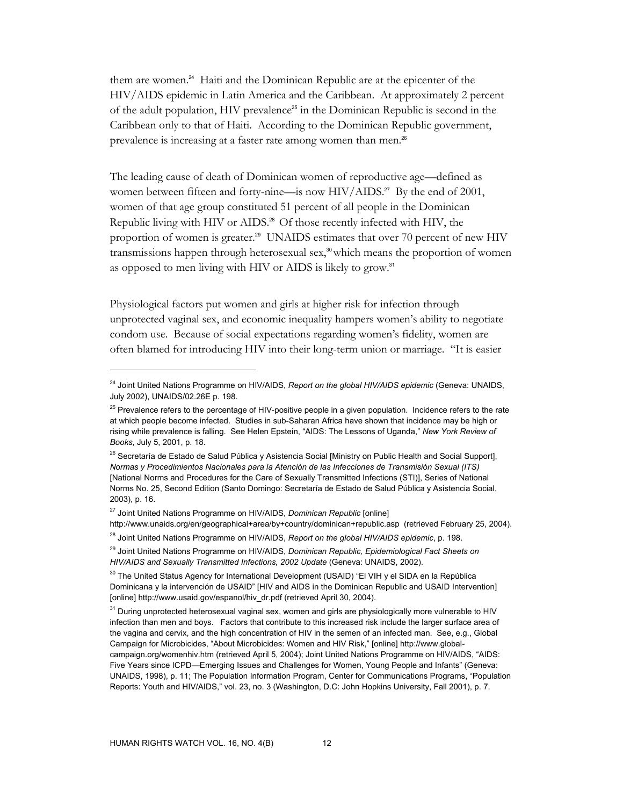them are women.24 Haiti and the Dominican Republic are at the epicenter of the HIV/AIDS epidemic in Latin America and the Caribbean. At approximately 2 percent of the adult population, HIV prevalence<sup>25</sup> in the Dominican Republic is second in the Caribbean only to that of Haiti. According to the Dominican Republic government, prevalence is increasing at a faster rate among women than men.<sup>26</sup>

The leading cause of death of Dominican women of reproductive age—defined as women between fifteen and forty-nine—is now HIV/AIDS.<sup>27</sup> By the end of 2001, women of that age group constituted 51 percent of all people in the Dominican Republic living with HIV or AIDS.28 Of those recently infected with HIV, the proportion of women is greater.29 UNAIDS estimates that over 70 percent of new HIV transmissions happen through heterosexual sex,<sup>30</sup> which means the proportion of women as opposed to men living with HIV or AIDS is likely to grow.<sup>31</sup>

Physiological factors put women and girls at higher risk for infection through unprotected vaginal sex, and economic inequality hampers women's ability to negotiate condom use. Because of social expectations regarding women's fidelity, women are often blamed for introducing HIV into their long-term union or marriage. "It is easier

<sup>24</sup> Joint United Nations Programme on HIV/AIDS, *Report on the global HIV/AIDS epidemic* (Geneva: UNAIDS, July 2002), UNAIDS/02.26E p. 198.

 $25$  Prevalence refers to the percentage of HIV-positive people in a given population. Incidence refers to the rate at which people become infected. Studies in sub-Saharan Africa have shown that incidence may be high or rising while prevalence is falling. See Helen Epstein, "AIDS: The Lessons of Uganda," *New York Review of Books*, July 5, 2001, p. 18.

<sup>&</sup>lt;sup>26</sup> Secretaría de Estado de Salud Pública y Asistencia Social [Ministry on Public Health and Social Support], *Normas y Procedimientos Nacionales para la Atención de las Infecciones de Transmisión Sexual (ITS)* [National Norms and Procedures for the Care of Sexually Transmitted Infections (STI)], Series of National Norms No. 25, Second Edition (Santo Domingo: Secretaría de Estado de Salud Pública y Asistencia Social, 2003), p. 16.

<sup>27</sup> Joint United Nations Programme on HIV/AIDS, *Dominican Republic* [online]

http://www.unaids.org/en/geographical+area/by+country/dominican+republic.asp (retrieved February 25, 2004).

<sup>28</sup> Joint United Nations Programme on HIV/AIDS, *Report on the global HIV/AIDS epidemic*, p. 198.

<sup>29</sup> Joint United Nations Programme on HIV/AIDS, *Dominican Republic, Epidemiological Fact Sheets on HIV/AIDS and Sexually Transmitted Infections, 2002 Update* (Geneva: UNAIDS, 2002).

<sup>&</sup>lt;sup>30</sup> The United Status Agency for International Development (USAID) "El VIH y el SIDA en la República Dominicana y la intervención de USAID" [HIV and AIDS in the Dominican Republic and USAID Intervention] [online] http://www.usaid.gov/espanol/hiv\_dr.pdf (retrieved April 30, 2004).

<sup>&</sup>lt;sup>31</sup> During unprotected heterosexual vaginal sex, women and girls are physiologically more vulnerable to HIV infection than men and boys. Factors that contribute to this increased risk include the larger surface area of the vagina and cervix, and the high concentration of HIV in the semen of an infected man. See, e.g., Global Campaign for Microbicides, "About Microbicides: Women and HIV Risk," [online] http://www.global-

campaign.org/womenhiv.htm (retrieved April 5, 2004); Joint United Nations Programme on HIV/AIDS, "AIDS: Five Years since ICPD—Emerging Issues and Challenges for Women, Young People and Infants" (Geneva: UNAIDS, 1998), p. 11; The Population Information Program, Center for Communications Programs, "Population Reports: Youth and HIV/AIDS," vol. 23, no. 3 (Washington, D.C: John Hopkins University, Fall 2001), p. 7.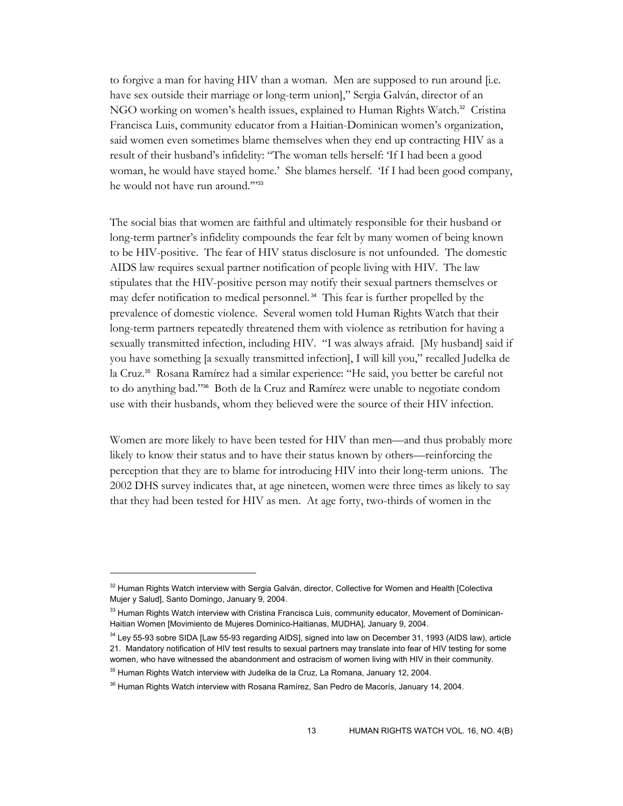to forgive a man for having HIV than a woman. Men are supposed to run around [i.e. have sex outside their marriage or long-term union]," Sergia Galván, director of an NGO working on women's health issues, explained to Human Rights Watch.<sup>32</sup> Cristina Francisca Luis, community educator from a Haitian-Dominican women's organization, said women even sometimes blame themselves when they end up contracting HIV as a result of their husband's infidelity: "The woman tells herself: 'If I had been a good woman, he would have stayed home.' She blames herself. 'If I had been good company, he would not have run around.""33

The social bias that women are faithful and ultimately responsible for their husband or long-term partner's infidelity compounds the fear felt by many women of being known to be HIV-positive. The fear of HIV status disclosure is not unfounded. The domestic AIDS law requires sexual partner notification of people living with HIV. The law stipulates that the HIV-positive person may notify their sexual partners themselves or may defer notification to medical personnel. 34 This fear is further propelled by the prevalence of domestic violence. Several women told Human Rights Watch that their long-term partners repeatedly threatened them with violence as retribution for having a sexually transmitted infection, including HIV. "I was always afraid. [My husband] said if you have something [a sexually transmitted infection], I will kill you," recalled Judelka de la Cruz.<sup>35</sup> Rosana Ramírez had a similar experience: "He said, you better be careful not to do anything bad."36 Both de la Cruz and Ramírez were unable to negotiate condom use with their husbands, whom they believed were the source of their HIV infection.

Women are more likely to have been tested for HIV than men—and thus probably more likely to know their status and to have their status known by others—reinforcing the perception that they are to blame for introducing HIV into their long-term unions. The 2002 DHS survey indicates that, at age nineteen, women were three times as likely to say that they had been tested for HIV as men. At age forty, two-thirds of women in the

<sup>&</sup>lt;sup>32</sup> Human Rights Watch interview with Sergia Galván, director, Collective for Women and Health [Colectiva Mujer y Salud], Santo Domingo, January 9, 2004.

<sup>&</sup>lt;sup>33</sup> Human Rights Watch interview with Cristina Francisca Luis, community educator, Movement of Dominican-Haitian Women [Movimiento de Mujeres Dominico-Haitianas, MUDHA], January 9, 2004.

<sup>&</sup>lt;sup>34</sup> Ley 55-93 sobre SIDA [Law 55-93 regarding AIDS], signed into law on December 31, 1993 (AIDS law), article 21. Mandatory notification of HIV test results to sexual partners may translate into fear of HIV testing for some women, who have witnessed the abandonment and ostracism of women living with HIV in their community.

 $35$  Human Rights Watch interview with Judelka de la Cruz, La Romana, January 12, 2004.

<sup>&</sup>lt;sup>36</sup> Human Rights Watch interview with Rosana Ramírez, San Pedro de Macorís, January 14, 2004.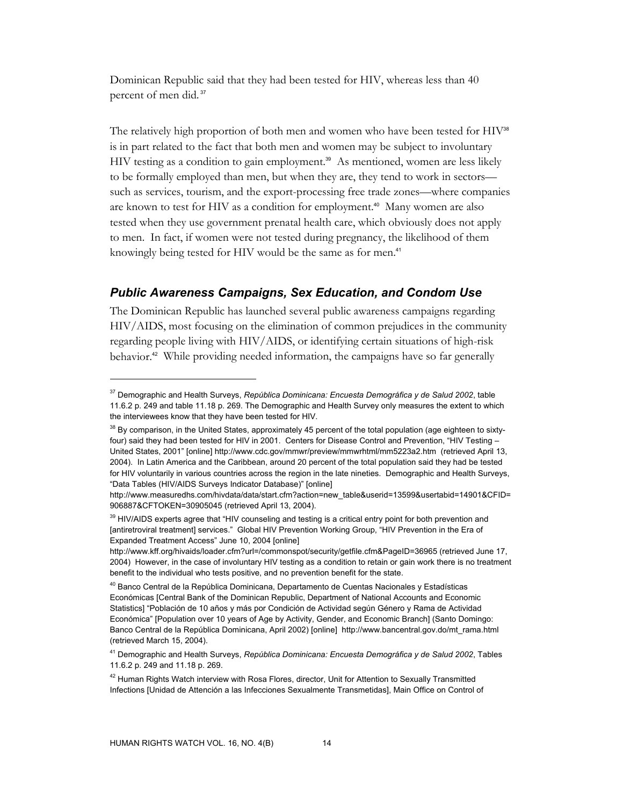Dominican Republic said that they had been tested for HIV, whereas less than 40 percent of men did.<sup>37</sup>

The relatively high proportion of both men and women who have been tested for HIV<sup>38</sup> is in part related to the fact that both men and women may be subject to involuntary HIV testing as a condition to gain employment.<sup>39</sup> As mentioned, women are less likely to be formally employed than men, but when they are, they tend to work in sectors such as services, tourism, and the export-processing free trade zones—where companies are known to test for HIV as a condition for employment.<sup>40</sup> Many women are also tested when they use government prenatal health care, which obviously does not apply to men. In fact, if women were not tested during pregnancy, the likelihood of them knowingly being tested for HIV would be the same as for men.<sup>41</sup>

#### *Public Awareness Campaigns, Sex Education, and Condom Use*

The Dominican Republic has launched several public awareness campaigns regarding HIV/AIDS, most focusing on the elimination of common prejudices in the community regarding people living with HIV/AIDS, or identifying certain situations of high-risk behavior.42 While providing needed information, the campaigns have so far generally

<sup>37</sup> Demographic and Health Surveys, *República Dominicana: Encuesta Demográfica y de Salud 2002*, table 11.6.2 p. 249 and table 11.18 p. 269. The Demographic and Health Survey only measures the extent to which the interviewees know that they have been tested for HIV.

<sup>&</sup>lt;sup>38</sup> By comparison, in the United States, approximately 45 percent of the total population (age eighteen to sixtyfour) said they had been tested for HIV in 2001. Centers for Disease Control and Prevention, "HIV Testing – United States, 2001" [online] http://www.cdc.gov/mmwr/preview/mmwrhtml/mm5223a2.htm (retrieved April 13, 2004). In Latin America and the Caribbean, around 20 percent of the total population said they had be tested for HIV voluntarily in various countries across the region in the late nineties. Demographic and Health Surveys, "Data Tables (HIV/AIDS Surveys Indicator Database)" [online]

http://www.measuredhs.com/hivdata/data/start.cfm?action=new\_table&userid=13599&usertabid=14901&CFID= 906887&CFTOKEN=30905045 (retrieved April 13, 2004).

<sup>&</sup>lt;sup>39</sup> HIV/AIDS experts agree that "HIV counseling and testing is a critical entry point for both prevention and [antiretroviral treatment] services." Global HIV Prevention Working Group, "HIV Prevention in the Era of Expanded Treatment Access" June 10, 2004 [online]

http://www.kff.org/hivaids/loader.cfm?url=/commonspot/security/getfile.cfm&PageID=36965 (retrieved June 17, 2004) However, in the case of involuntary HIV testing as a condition to retain or gain work there is no treatment benefit to the individual who tests positive, and no prevention benefit for the state.

<sup>&</sup>lt;sup>40</sup> Banco Central de la República Dominicana, Departamento de Cuentas Nacionales y Estadísticas Económicas [Central Bank of the Dominican Republic, Department of National Accounts and Economic Statistics] "Población de 10 años y más por Condición de Actividad según Género y Rama de Actividad Económica" [Population over 10 years of Age by Activity, Gender, and Economic Branch] (Santo Domingo: Banco Central de la República Dominicana, April 2002) [online] http://www.bancentral.gov.do/mt\_rama.html (retrieved March 15, 2004).

<sup>41</sup> Demographic and Health Surveys, *República Dominicana: Encuesta Demográfica y de Salud 2002*, Tables 11.6.2 p. 249 and 11.18 p. 269.

<sup>&</sup>lt;sup>42</sup> Human Rights Watch interview with Rosa Flores, director, Unit for Attention to Sexually Transmitted Infections [Unidad de Attención a las Infecciones Sexualmente Transmetidas], Main Office on Control of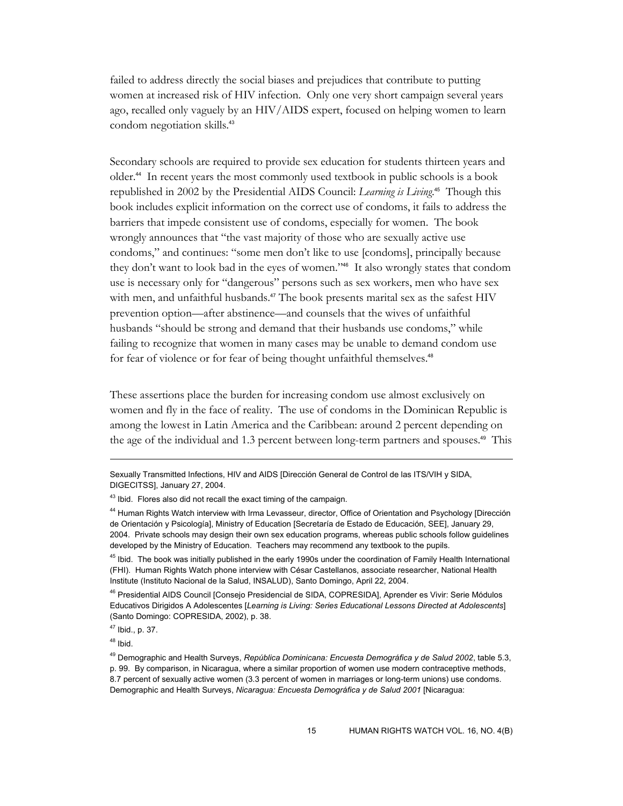failed to address directly the social biases and prejudices that contribute to putting women at increased risk of HIV infection. Only one very short campaign several years ago, recalled only vaguely by an HIV/AIDS expert, focused on helping women to learn condom negotiation skills.<sup>43</sup>

Secondary schools are required to provide sex education for students thirteen years and older.44 In recent years the most commonly used textbook in public schools is a book republished in 2002 by the Presidential AIDS Council: *Learning is Living*. <sup>45</sup> Though this book includes explicit information on the correct use of condoms, it fails to address the barriers that impede consistent use of condoms, especially for women. The book wrongly announces that "the vast majority of those who are sexually active use condoms," and continues: "some men don't like to use [condoms], principally because they don't want to look bad in the eyes of women."46 It also wrongly states that condom use is necessary only for "dangerous" persons such as sex workers, men who have sex with men, and unfaithful husbands.<sup>47</sup> The book presents marital sex as the safest HIV prevention option—after abstinence—and counsels that the wives of unfaithful husbands "should be strong and demand that their husbands use condoms," while failing to recognize that women in many cases may be unable to demand condom use for fear of violence or for fear of being thought unfaithful themselves.<sup>48</sup>

These assertions place the burden for increasing condom use almost exclusively on women and fly in the face of reality. The use of condoms in the Dominican Republic is among the lowest in Latin America and the Caribbean: around 2 percent depending on the age of the individual and 1.3 percent between long-term partners and spouses.49 This

Sexually Transmitted Infections, HIV and AIDS [Dirección General de Control de las ITS/VIH y SIDA, DIGECITSS], January 27, 2004.

 $43$  Ibid. Flores also did not recall the exact timing of the campaign.

<sup>44</sup> Human Rights Watch interview with Irma Levasseur, director, Office of Orientation and Psychology [Dirección de Orientación y Psicología], Ministry of Education [Secretaría de Estado de Educación, SEE], January 29, 2004. Private schools may design their own sex education programs, whereas public schools follow guidelines developed by the Ministry of Education. Teachers may recommend any textbook to the pupils.

<sup>&</sup>lt;sup>45</sup> Ibid. The book was initially published in the early 1990s under the coordination of Family Health International (FHI). Human Rights Watch phone interview with César Castellanos, associate researcher, National Health Institute (Instituto Nacional de la Salud, INSALUD), Santo Domingo, April 22, 2004.

<sup>46</sup> Presidential AIDS Council [Consejo Presidencial de SIDA, COPRESIDA], Aprender es Vivir: Serie Módulos Educativos Dirigidos A Adolescentes [*Learning is Living: Series Educational Lessons Directed at Adolescents*] (Santo Domingo: COPRESIDA, 2002), p. 38.

<sup>47</sup> Ibid., p. 37.

 $48$  Ibid.

<sup>49</sup> Demographic and Health Surveys, *República Dominicana: Encuesta Demográfica y de Salud 2002*, table 5.3, p. 99. By comparison, in Nicaragua, where a similar proportion of women use modern contraceptive methods, 8.7 percent of sexually active women (3.3 percent of women in marriages or long-term unions) use condoms. Demographic and Health Surveys, *Nicaragua: Encuesta Demográfica y de Salud 2001* [Nicaragua: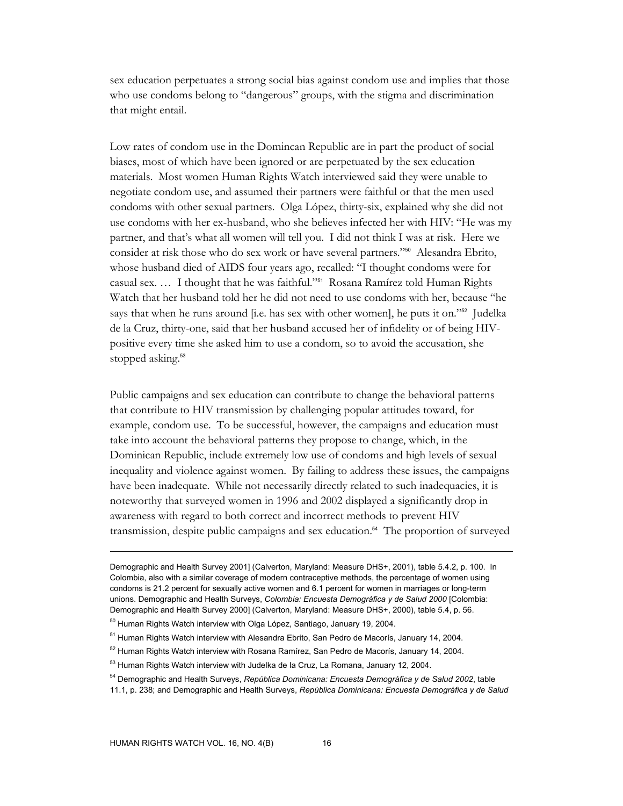sex education perpetuates a strong social bias against condom use and implies that those who use condoms belong to "dangerous" groups, with the stigma and discrimination that might entail.

Low rates of condom use in the Domincan Republic are in part the product of social biases, most of which have been ignored or are perpetuated by the sex education materials. Most women Human Rights Watch interviewed said they were unable to negotiate condom use, and assumed their partners were faithful or that the men used condoms with other sexual partners. Olga López, thirty-six, explained why she did not use condoms with her ex-husband, who she believes infected her with HIV: "He was my partner, and that's what all women will tell you. I did not think I was at risk. Here we consider at risk those who do sex work or have several partners."50 Alesandra Ebrito, whose husband died of AIDS four years ago, recalled: "I thought condoms were for casual sex. … I thought that he was faithful."51 Rosana Ramírez told Human Rights Watch that her husband told her he did not need to use condoms with her, because "he says that when he runs around [i.e. has sex with other women], he puts it on."<sup>52</sup> Judelka de la Cruz, thirty-one, said that her husband accused her of infidelity or of being HIVpositive every time she asked him to use a condom, so to avoid the accusation, she stopped asking.<sup>53</sup>

Public campaigns and sex education can contribute to change the behavioral patterns that contribute to HIV transmission by challenging popular attitudes toward, for example, condom use. To be successful, however, the campaigns and education must take into account the behavioral patterns they propose to change, which, in the Dominican Republic, include extremely low use of condoms and high levels of sexual inequality and violence against women. By failing to address these issues, the campaigns have been inadequate. While not necessarily directly related to such inadequacies, it is noteworthy that surveyed women in 1996 and 2002 displayed a significantly drop in awareness with regard to both correct and incorrect methods to prevent HIV transmission, despite public campaigns and sex education.54 The proportion of surveyed

Demographic and Health Survey 2001] (Calverton, Maryland: Measure DHS+, 2001), table 5.4.2, p. 100. In Colombia, also with a similar coverage of modern contraceptive methods, the percentage of women using condoms is 21.2 percent for sexually active women and 6.1 percent for women in marriages or long-term unions. Demographic and Health Surveys, *Colombia: Encuesta Demográfica y de Salud 2000* [Colombia: Demographic and Health Survey 2000] (Calverton, Maryland: Measure DHS+, 2000), table 5.4, p. 56.

<sup>&</sup>lt;sup>50</sup> Human Rights Watch interview with Olga López, Santiago, January 19, 2004.

<sup>&</sup>lt;sup>51</sup> Human Rights Watch interview with Alesandra Ebrito, San Pedro de Macorís, January 14, 2004.

 $52$  Human Rights Watch interview with Rosana Ramírez, San Pedro de Macorís, January 14, 2004.

<sup>&</sup>lt;sup>53</sup> Human Rights Watch interview with Judelka de la Cruz, La Romana, January 12, 2004.

<sup>54</sup> Demographic and Health Surveys, *República Dominicana: Encuesta Demográfica y de Salud 2002*, table

<sup>11.1,</sup> p. 238; and Demographic and Health Surveys, *República Dominicana: Encuesta Demográfica y de Salud*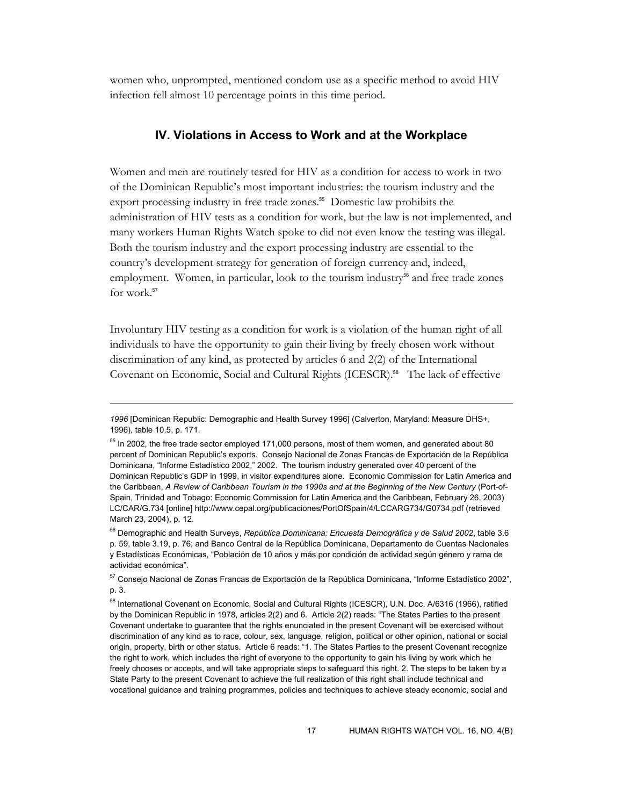women who, unprompted, mentioned condom use as a specific method to avoid HIV infection fell almost 10 percentage points in this time period.

## **IV. Violations in Access to Work and at the Workplace**

Women and men are routinely tested for HIV as a condition for access to work in two of the Dominican Republic's most important industries: the tourism industry and the export processing industry in free trade zones.<sup>55</sup> Domestic law prohibits the administration of HIV tests as a condition for work, but the law is not implemented, and many workers Human Rights Watch spoke to did not even know the testing was illegal. Both the tourism industry and the export processing industry are essential to the country's development strategy for generation of foreign currency and, indeed, employment. Women, in particular, look to the tourism industry<sup>56</sup> and free trade zones for work.<sup>57</sup>

Involuntary HIV testing as a condition for work is a violation of the human right of all individuals to have the opportunity to gain their living by freely chosen work without discrimination of any kind, as protected by articles 6 and 2(2) of the International Covenant on Economic, Social and Cultural Rights (ICESCR).58 The lack of effective

*<sup>1996</sup>* [Dominican Republic: Demographic and Health Survey 1996] (Calverton, Maryland: Measure DHS+, 1996)*,* table 10.5, p. 171.

 $55$  In 2002, the free trade sector employed 171,000 persons, most of them women, and generated about 80 percent of Dominican Republic's exports. Consejo Nacional de Zonas Francas de Exportación de la República Dominicana, "Informe Estadístico 2002," 2002. The tourism industry generated over 40 percent of the Dominican Republic's GDP in 1999, in visitor expenditures alone. Economic Commission for Latin America and the Caribbean, *A Review of Caribbean Tourism in the 1990s and at the Beginning of the New Century* (Port-of-Spain, Trinidad and Tobago: Economic Commission for Latin America and the Caribbean, February 26, 2003) LC/CAR/G.734 [online] http://www.cepal.org/publicaciones/PortOfSpain/4/LCCARG734/G0734.pdf (retrieved March 23, 2004), p. 12.

<sup>56</sup> Demographic and Health Surveys, *República Dominicana: Encuesta Demográfica y de Salud 2002*, table 3.6 p. 59, table 3.19, p. 76; and Banco Central de la República Dominicana, Departamento de Cuentas Nacionales y Estadísticas Económicas, "Población de 10 años y más por condición de actividad según género y rama de actividad económica".

<sup>&</sup>lt;sup>57</sup> Consejo Nacional de Zonas Francas de Exportación de la República Dominicana, "Informe Estadístico 2002", p. 3.

<sup>58</sup> International Covenant on Economic, Social and Cultural Rights (ICESCR), U.N. Doc. A/6316 (1966), ratified by the Dominican Republic in 1978, articles 2(2) and 6. Article 2(2) reads: "The States Parties to the present Covenant undertake to guarantee that the rights enunciated in the present Covenant will be exercised without discrimination of any kind as to race, colour, sex, language, religion, political or other opinion, national or social origin, property, birth or other status. Article 6 reads: "1. The States Parties to the present Covenant recognize the right to work, which includes the right of everyone to the opportunity to gain his living by work which he freely chooses or accepts, and will take appropriate steps to safeguard this right. 2. The steps to be taken by a State Party to the present Covenant to achieve the full realization of this right shall include technical and vocational guidance and training programmes, policies and techniques to achieve steady economic, social and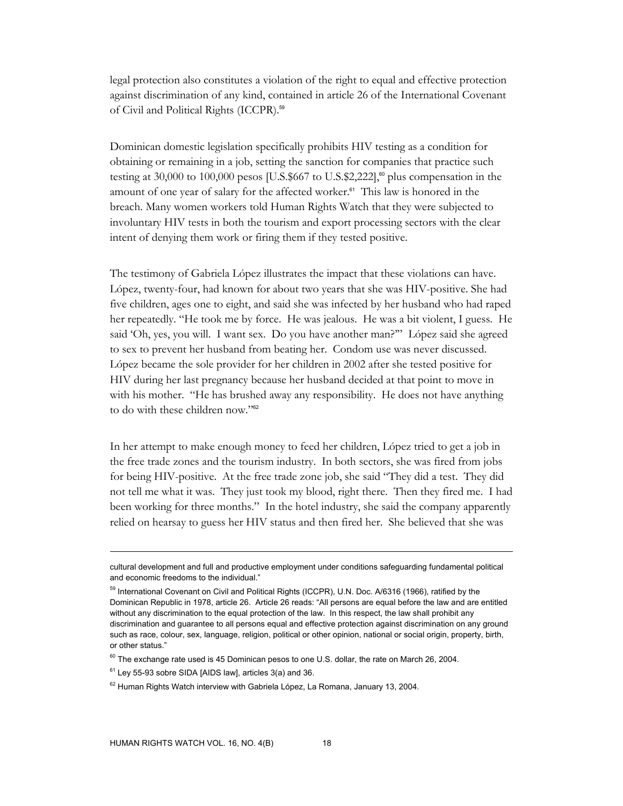legal protection also constitutes a violation of the right to equal and effective protection against discrimination of any kind, contained in article 26 of the International Covenant of Civil and Political Rights (ICCPR).<sup>59</sup>

Dominican domestic legislation specifically prohibits HIV testing as a condition for obtaining or remaining in a job, setting the sanction for companies that practice such testing at 30,000 to 100,000 pesos [U.S. $$667$  to U.S. $$2,222]$ ,<sup>60</sup> plus compensation in the amount of one year of salary for the affected worker.<sup>61</sup> This law is honored in the breach. Many women workers told Human Rights Watch that they were subjected to involuntary HIV tests in both the tourism and export processing sectors with the clear intent of denying them work or firing them if they tested positive.

The testimony of Gabriela López illustrates the impact that these violations can have. López, twenty-four, had known for about two years that she was HIV-positive. She had five children, ages one to eight, and said she was infected by her husband who had raped her repeatedly. "He took me by force. He was jealous. He was a bit violent, I guess. He said 'Oh, yes, you will. I want sex. Do you have another man?'" López said she agreed to sex to prevent her husband from beating her. Condom use was never discussed. López became the sole provider for her children in 2002 after she tested positive for HIV during her last pregnancy because her husband decided at that point to move in with his mother. "He has brushed away any responsibility. He does not have anything to do with these children now."<sup>62</sup>

In her attempt to make enough money to feed her children, López tried to get a job in the free trade zones and the tourism industry. In both sectors, she was fired from jobs for being HIV-positive. At the free trade zone job, she said "They did a test. They did not tell me what it was. They just took my blood, right there. Then they fired me. I had been working for three months." In the hotel industry, she said the company apparently relied on hearsay to guess her HIV status and then fired her. She believed that she was

cultural development and full and productive employment under conditions safeguarding fundamental political and economic freedoms to the individual."

<sup>&</sup>lt;sup>59</sup> International Covenant on Civil and Political Rights (ICCPR), U.N. Doc. A/6316 (1966), ratified by the Dominican Republic in 1978, article 26. Article 26 reads: "All persons are equal before the law and are entitled without any discrimination to the equal protection of the law. In this respect, the law shall prohibit any discrimination and guarantee to all persons equal and effective protection against discrimination on any ground such as race, colour, sex, language, religion, political or other opinion, national or social origin, property, birth, or other status."

 $60$  The exchange rate used is 45 Dominican pesos to one U.S. dollar, the rate on March 26, 2004.

 $61$  Ley 55-93 sobre SIDA [AIDS law], articles 3(a) and 36.

 $62$  Human Rights Watch interview with Gabriela López, La Romana, January 13, 2004.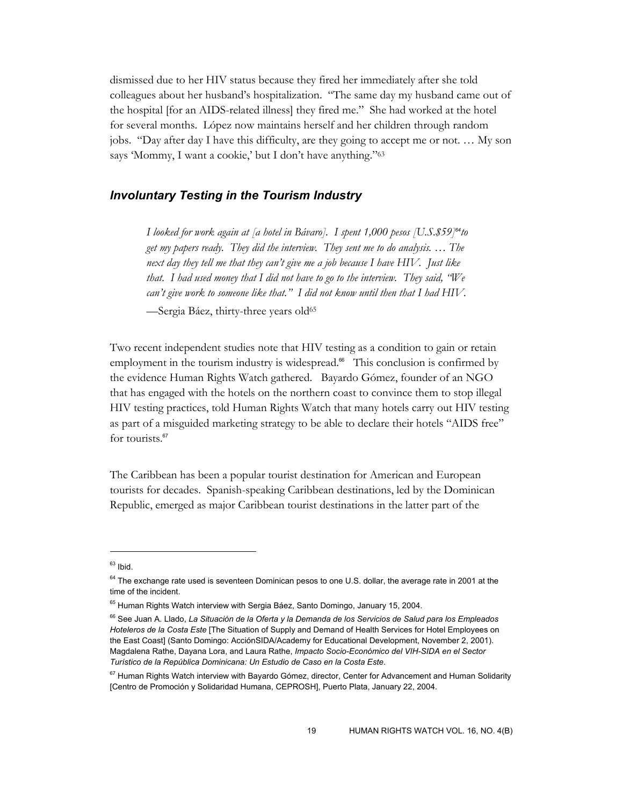dismissed due to her HIV status because they fired her immediately after she told colleagues about her husband's hospitalization. "The same day my husband came out of the hospital [for an AIDS-related illness] they fired me." She had worked at the hotel for several months. López now maintains herself and her children through random jobs. "Day after day I have this difficulty, are they going to accept me or not. … My son says 'Mommy, I want a cookie,' but I don't have anything."<sup>63</sup>

## *Involuntary Testing in the Tourism Industry*

*I looked for work again at [a hotel in Bávaro]. I spent 1,000 pesos [U.S.\$59]64to get my papers ready. They did the interview. They sent me to do analysis. … The next day they tell me that they can't give me a job because I have HIV. Just like that. I had used money that I did not have to go to the interview. They said, "We can't give work to someone like that." I did not know until then that I had HIV.* 

—Sergia Báez, thirty-three years old65

Two recent independent studies note that HIV testing as a condition to gain or retain employment in the tourism industry is widespread.<sup>66</sup> This conclusion is confirmed by the evidence Human Rights Watch gathered. Bayardo Gómez, founder of an NGO that has engaged with the hotels on the northern coast to convince them to stop illegal HIV testing practices, told Human Rights Watch that many hotels carry out HIV testing as part of a misguided marketing strategy to be able to declare their hotels "AIDS free" for tourists.<sup>67</sup>

The Caribbean has been a popular tourist destination for American and European tourists for decades. Spanish-speaking Caribbean destinations, led by the Dominican Republic, emerged as major Caribbean tourist destinations in the latter part of the

 $63$  Ibid.

<sup>&</sup>lt;sup>64</sup> The exchange rate used is seventeen Dominican pesos to one U.S. dollar, the average rate in 2001 at the time of the incident.

<sup>&</sup>lt;sup>65</sup> Human Rights Watch interview with Sergia Báez, Santo Domingo, January 15, 2004.

<sup>66</sup> See Juan A. Llado, *La Situación de la Oferta y la Demanda de los Servicios de Salud para los Empleados Hoteleros de la Costa Este* [The Situation of Supply and Demand of Health Services for Hotel Employees on the East Coast] (Santo Domingo: AcciónSIDA/Academy for Educational Development, November 2, 2001). Magdalena Rathe, Dayana Lora, and Laura Rathe, *Impacto Socio-Económico del VIH-SIDA en el Sector Turístico de la República Dominicana: Un Estudio de Caso en la Costa Este*.

<sup>&</sup>lt;sup>67</sup> Human Rights Watch interview with Bayardo Gómez, director, Center for Advancement and Human Solidarity [Centro de Promoción y Solidaridad Humana, CEPROSH], Puerto Plata, January 22, 2004.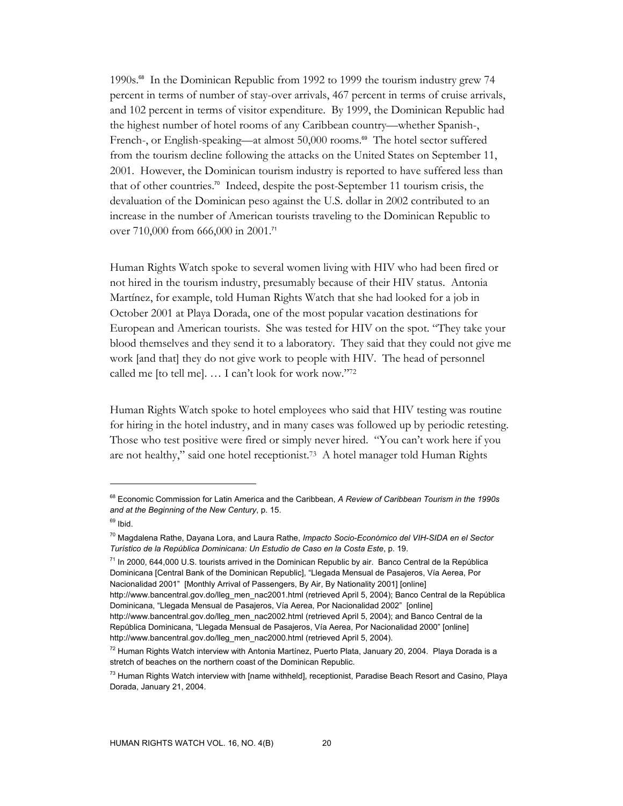1990s.68 In the Dominican Republic from 1992 to 1999 the tourism industry grew 74 percent in terms of number of stay-over arrivals, 467 percent in terms of cruise arrivals, and 102 percent in terms of visitor expenditure. By 1999, the Dominican Republic had the highest number of hotel rooms of any Caribbean country—whether Spanish-, French-, or English-speaking—at almost 50,000 rooms.<sup>69</sup> The hotel sector suffered from the tourism decline following the attacks on the United States on September 11, 2001. However, the Dominican tourism industry is reported to have suffered less than that of other countries.70 Indeed, despite the post-September 11 tourism crisis, the devaluation of the Dominican peso against the U.S. dollar in 2002 contributed to an increase in the number of American tourists traveling to the Dominican Republic to over 710,000 from 666,000 in 2001.<sup>71</sup>

Human Rights Watch spoke to several women living with HIV who had been fired or not hired in the tourism industry, presumably because of their HIV status. Antonia Martínez, for example, told Human Rights Watch that she had looked for a job in October 2001 at Playa Dorada, one of the most popular vacation destinations for European and American tourists. She was tested for HIV on the spot. "They take your blood themselves and they send it to a laboratory. They said that they could not give me work [and that] they do not give work to people with HIV. The head of personnel called me [to tell me]. … I can't look for work now."72

Human Rights Watch spoke to hotel employees who said that HIV testing was routine for hiring in the hotel industry, and in many cases was followed up by periodic retesting. Those who test positive were fired or simply never hired. "You can't work here if you are not healthy," said one hotel receptionist.73 A hotel manager told Human Rights

 $\overline{a}$ 

http://www.bancentral.gov.do/lleg\_men\_nac2001.html (retrieved April 5, 2004); Banco Central de la República Dominicana, "Llegada Mensual de Pasajeros, Vía Aerea, Por Nacionalidad 2002" [online]

<sup>68</sup> Economic Commission for Latin America and the Caribbean, *A Review of Caribbean Tourism in the 1990s and at the Beginning of the New Century*, p. 15.

 $69$  Ibid.

<sup>70</sup> Magdalena Rathe, Dayana Lora, and Laura Rathe, *Impacto Socio-Económico del VIH-SIDA en el Sector Turístico de la República Dominicana: Un Estudio de Caso en la Costa Este*, p. 19.

<sup>&</sup>lt;sup>71</sup> In 2000, 644,000 U.S. tourists arrived in the Dominican Republic by air. Banco Central de la República Dominicana [Central Bank of the Dominican Republic], "Llegada Mensual de Pasajeros, Vía Aerea, Por Nacionalidad 2001" [Monthly Arrival of Passengers, By Air, By Nationality 2001] [online]

http://www.bancentral.gov.do/lleg\_men\_nac2002.html (retrieved April 5, 2004); and Banco Central de la República Dominicana, "Llegada Mensual de Pasajeros, Vía Aerea, Por Nacionalidad 2000" [online] http://www.bancentral.gov.do/lleg\_men\_nac2000.html (retrieved April 5, 2004).

 $^{72}$  Human Rights Watch interview with Antonia Martínez, Puerto Plata, January 20, 2004. Playa Dorada is a stretch of beaches on the northern coast of the Dominican Republic.

<sup>&</sup>lt;sup>73</sup> Human Rights Watch interview with [name withheld], receptionist, Paradise Beach Resort and Casino, Playa Dorada, January 21, 2004.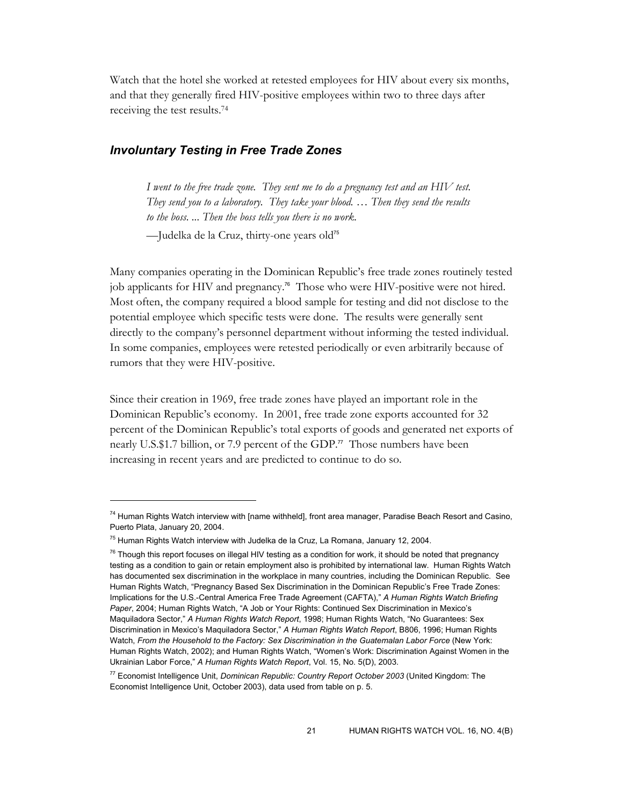Watch that the hotel she worked at retested employees for HIV about every six months, and that they generally fired HIV-positive employees within two to three days after receiving the test results.74

## *Involuntary Testing in Free Trade Zones*

*I went to the free trade zone. They sent me to do a pregnancy test and an HIV test. They send you to a laboratory. They take your blood. … Then they send the results to the boss. ... Then the boss tells you there is no work.* 

—Judelka de la Cruz, thirty-one years old<sup>75</sup>

Many companies operating in the Dominican Republic's free trade zones routinely tested job applicants for HIV and pregnancy.76 Those who were HIV-positive were not hired. Most often, the company required a blood sample for testing and did not disclose to the potential employee which specific tests were done. The results were generally sent directly to the company's personnel department without informing the tested individual. In some companies, employees were retested periodically or even arbitrarily because of rumors that they were HIV-positive.

Since their creation in 1969, free trade zones have played an important role in the Dominican Republic's economy. In 2001, free trade zone exports accounted for 32 percent of the Dominican Republic's total exports of goods and generated net exports of nearly U.S.\$1.7 billion, or 7.9 percent of the GDP.<sup>77</sup> Those numbers have been increasing in recent years and are predicted to continue to do so.

<sup>&</sup>lt;sup>74</sup> Human Rights Watch interview with [name withheld], front area manager, Paradise Beach Resort and Casino, Puerto Plata, January 20, 2004.

 $75$  Human Rights Watch interview with Judelka de la Cruz, La Romana, January 12, 2004.

 $^{76}$  Though this report focuses on illegal HIV testing as a condition for work, it should be noted that pregnancy testing as a condition to gain or retain employment also is prohibited by international law. Human Rights Watch has documented sex discrimination in the workplace in many countries, including the Dominican Republic. See Human Rights Watch, "Pregnancy Based Sex Discrimination in the Dominican Republic's Free Trade Zones: Implications for the U.S.-Central America Free Trade Agreement (CAFTA)," *A Human Rights Watch Briefing Paper*, 2004; Human Rights Watch, "A Job or Your Rights: Continued Sex Discrimination in Mexico's Maquiladora Sector," *A Human Rights Watch Report*, 1998; Human Rights Watch, "No Guarantees: Sex Discrimination in Mexico's Maquiladora Sector," *A Human Rights Watch Report*, B806, 1996; Human Rights Watch, *From the Household to the Factory: Sex Discrimination in the Guatemalan Labor Force* (New York: Human Rights Watch, 2002); and Human Rights Watch, "Women's Work: Discrimination Against Women in the Ukrainian Labor Force," *A Human Rights Watch Report*, Vol. 15, No. 5(D), 2003.

<sup>77</sup> Economist Intelligence Unit, *Dominican Republic: Country Report October 2003* (United Kingdom: The Economist Intelligence Unit, October 2003), data used from table on p. 5.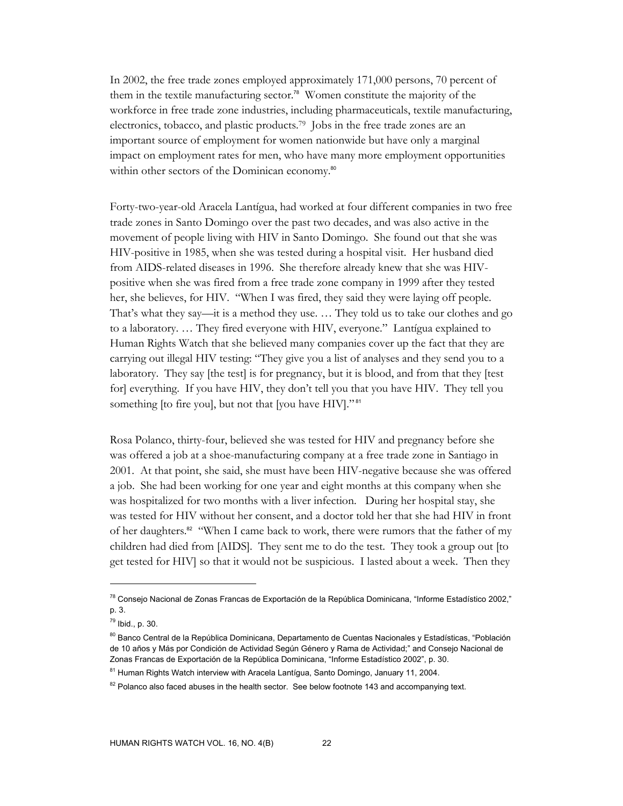In 2002, the free trade zones employed approximately 171,000 persons, 70 percent of them in the textile manufacturing sector.78 Women constitute the majority of the workforce in free trade zone industries, including pharmaceuticals, textile manufacturing, electronics, tobacco, and plastic products.79 Jobs in the free trade zones are an important source of employment for women nationwide but have only a marginal impact on employment rates for men, who have many more employment opportunities within other sectors of the Dominican economy.<sup>80</sup>

Forty-two-year-old Aracela Lantígua, had worked at four different companies in two free trade zones in Santo Domingo over the past two decades, and was also active in the movement of people living with HIV in Santo Domingo. She found out that she was HIV-positive in 1985, when she was tested during a hospital visit. Her husband died from AIDS-related diseases in 1996. She therefore already knew that she was HIVpositive when she was fired from a free trade zone company in 1999 after they tested her, she believes, for HIV. "When I was fired, they said they were laying off people. That's what they say—it is a method they use. … They told us to take our clothes and go to a laboratory. … They fired everyone with HIV, everyone." Lantígua explained to Human Rights Watch that she believed many companies cover up the fact that they are carrying out illegal HIV testing: "They give you a list of analyses and they send you to a laboratory. They say [the test] is for pregnancy, but it is blood, and from that they [test] for] everything. If you have HIV, they don't tell you that you have HIV. They tell you something [to fire you], but not that [you have HIV]."<sup>81</sup>

Rosa Polanco, thirty-four, believed she was tested for HIV and pregnancy before she was offered a job at a shoe-manufacturing company at a free trade zone in Santiago in 2001. At that point, she said, she must have been HIV-negative because she was offered a job. She had been working for one year and eight months at this company when she was hospitalized for two months with a liver infection. During her hospital stay, she was tested for HIV without her consent, and a doctor told her that she had HIV in front of her daughters.82 "When I came back to work, there were rumors that the father of my children had died from [AIDS]. They sent me to do the test. They took a group out [to get tested for HIV] so that it would not be suspicious. I lasted about a week. Then they

<sup>&</sup>lt;sup>78</sup> Consejo Nacional de Zonas Francas de Exportación de la República Dominicana, "Informe Estadístico 2002," p. 3.

<sup>79</sup> Ibid., p. 30.

<sup>80</sup> Banco Central de la República Dominicana, Departamento de Cuentas Nacionales y Estadísticas, "Población de 10 años y Más por Condición de Actividad Según Género y Rama de Actividad;" and Consejo Nacional de Zonas Francas de Exportación de la República Dominicana, "Informe Estadístico 2002", p. 30.

<sup>&</sup>lt;sup>81</sup> Human Rights Watch interview with Aracela Lantígua, Santo Domingo, January 11, 2004.

 $82$  Polanco also faced abuses in the health sector. See below footnote 143 and accompanying text.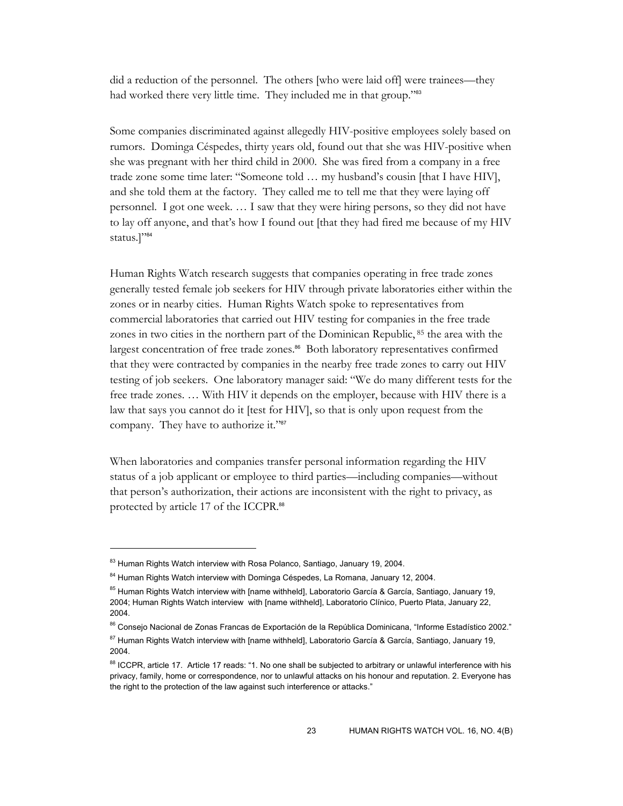did a reduction of the personnel. The others [who were laid off] were trainees—they had worked there very little time. They included me in that group."83

Some companies discriminated against allegedly HIV-positive employees solely based on rumors. Dominga Céspedes, thirty years old, found out that she was HIV-positive when she was pregnant with her third child in 2000. She was fired from a company in a free trade zone some time later: "Someone told … my husband's cousin [that I have HIV], and she told them at the factory. They called me to tell me that they were laying off personnel. I got one week. … I saw that they were hiring persons, so they did not have to lay off anyone, and that's how I found out [that they had fired me because of my HIV status.]"84

Human Rights Watch research suggests that companies operating in free trade zones generally tested female job seekers for HIV through private laboratories either within the zones or in nearby cities. Human Rights Watch spoke to representatives from commercial laboratories that carried out HIV testing for companies in the free trade zones in two cities in the northern part of the Dominican Republic, 85 the area with the largest concentration of free trade zones.<sup>86</sup> Both laboratory representatives confirmed that they were contracted by companies in the nearby free trade zones to carry out HIV testing of job seekers. One laboratory manager said: "We do many different tests for the free trade zones. … With HIV it depends on the employer, because with HIV there is a law that says you cannot do it [test for HIV], so that is only upon request from the company. They have to authorize it."<sup>87</sup>

When laboratories and companies transfer personal information regarding the HIV status of a job applicant or employee to third parties—including companies—without that person's authorization, their actions are inconsistent with the right to privacy, as protected by article 17 of the ICCPR.<sup>88</sup>

<sup>83</sup> Human Rights Watch interview with Rosa Polanco, Santiago, January 19, 2004.

<sup>&</sup>lt;sup>84</sup> Human Rights Watch interview with Dominga Céspedes, La Romana, January 12, 2004.

<sup>&</sup>lt;sup>85</sup> Human Rights Watch interview with [name withheld], Laboratorio García & García, Santiago, January 19, 2004; Human Rights Watch interview with [name withheld], Laboratorio Clínico, Puerto Plata, January 22, 2004.

<sup>86</sup> Consejo Nacional de Zonas Francas de Exportación de la República Dominicana, "Informe Estadístico 2002."

<sup>&</sup>lt;sup>87</sup> Human Rights Watch interview with [name withheld], Laboratorio García & García, Santiago, January 19, 2004.

<sup>88</sup> ICCPR, article 17. Article 17 reads: "1. No one shall be subjected to arbitrary or unlawful interference with his privacy, family, home or correspondence, nor to unlawful attacks on his honour and reputation. 2. Everyone has the right to the protection of the law against such interference or attacks."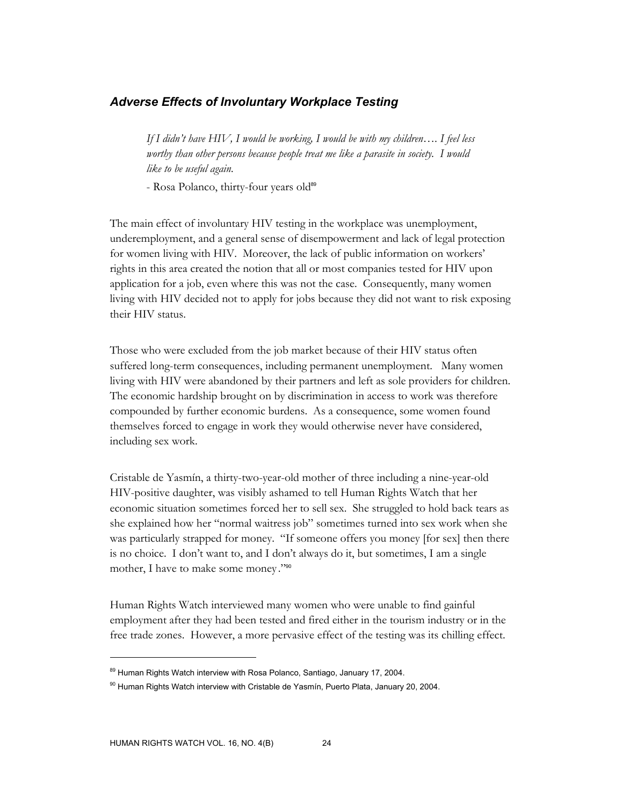#### *Adverse Effects of Involuntary Workplace Testing*

*If I didn't have HIV, I would be working, I would be with my children…. I feel less worthy than other persons because people treat me like a parasite in society. I would like to be useful again.* 

- Rosa Polanco, thirty-four years old<sup>89</sup>

The main effect of involuntary HIV testing in the workplace was unemployment, underemployment, and a general sense of disempowerment and lack of legal protection for women living with HIV. Moreover, the lack of public information on workers' rights in this area created the notion that all or most companies tested for HIV upon application for a job, even where this was not the case. Consequently, many women living with HIV decided not to apply for jobs because they did not want to risk exposing their HIV status.

Those who were excluded from the job market because of their HIV status often suffered long-term consequences, including permanent unemployment. Many women living with HIV were abandoned by their partners and left as sole providers for children. The economic hardship brought on by discrimination in access to work was therefore compounded by further economic burdens. As a consequence, some women found themselves forced to engage in work they would otherwise never have considered, including sex work.

Cristable de Yasmín, a thirty-two-year-old mother of three including a nine-year-old HIV-positive daughter, was visibly ashamed to tell Human Rights Watch that her economic situation sometimes forced her to sell sex. She struggled to hold back tears as she explained how her "normal waitress job" sometimes turned into sex work when she was particularly strapped for money. "If someone offers you money [for sex] then there is no choice. I don't want to, and I don't always do it, but sometimes, I am a single mother, I have to make some money ."<sup>90</sup>

Human Rights Watch interviewed many women who were unable to find gainful employment after they had been tested and fired either in the tourism industry or in the free trade zones. However, a more pervasive effect of the testing was its chilling effect.

<sup>&</sup>lt;sup>89</sup> Human Rights Watch interview with Rosa Polanco, Santiago, January 17, 2004.

<sup>&</sup>lt;sup>90</sup> Human Rights Watch interview with Cristable de Yasmín, Puerto Plata, January 20, 2004.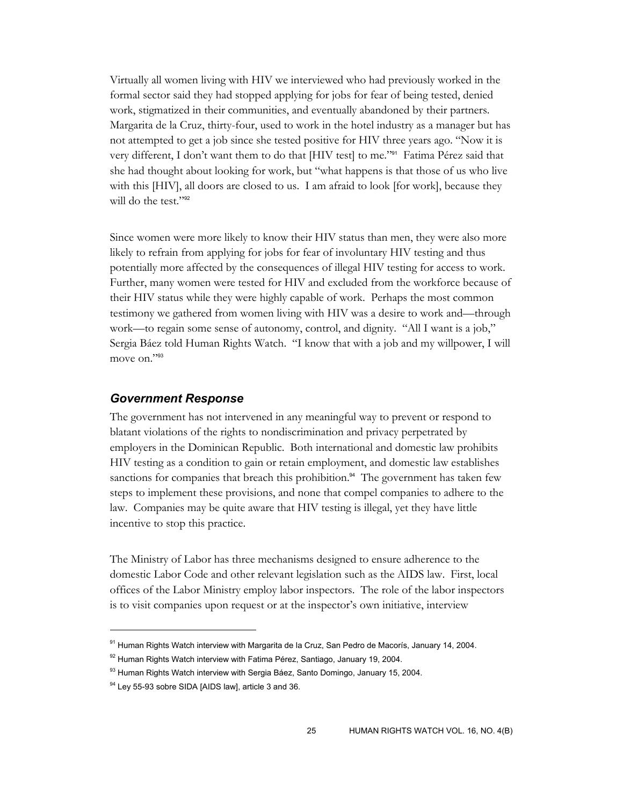Virtually all women living with HIV we interviewed who had previously worked in the formal sector said they had stopped applying for jobs for fear of being tested, denied work, stigmatized in their communities, and eventually abandoned by their partners. Margarita de la Cruz, thirty-four, used to work in the hotel industry as a manager but has not attempted to get a job since she tested positive for HIV three years ago. "Now it is very different, I don't want them to do that [HIV test] to me."91 Fatima Pérez said that she had thought about looking for work, but "what happens is that those of us who live with this [HIV], all doors are closed to us. I am afraid to look [for work], because they will do the test."<sup>92</sup>

Since women were more likely to know their HIV status than men, they were also more likely to refrain from applying for jobs for fear of involuntary HIV testing and thus potentially more affected by the consequences of illegal HIV testing for access to work. Further, many women were tested for HIV and excluded from the workforce because of their HIV status while they were highly capable of work. Perhaps the most common testimony we gathered from women living with HIV was a desire to work and—through work—to regain some sense of autonomy, control, and dignity. "All I want is a job," Sergia Báez told Human Rights Watch. "I know that with a job and my willpower, I will move on."93

## *Government Response*

The government has not intervened in any meaningful way to prevent or respond to blatant violations of the rights to nondiscrimination and privacy perpetrated by employers in the Dominican Republic. Both international and domestic law prohibits HIV testing as a condition to gain or retain employment, and domestic law establishes sanctions for companies that breach this prohibition. $94$  The government has taken few steps to implement these provisions, and none that compel companies to adhere to the law. Companies may be quite aware that HIV testing is illegal, yet they have little incentive to stop this practice.

The Ministry of Labor has three mechanisms designed to ensure adherence to the domestic Labor Code and other relevant legislation such as the AIDS law. First, local offices of the Labor Ministry employ labor inspectors. The role of the labor inspectors is to visit companies upon request or at the inspector's own initiative, interview

<sup>&</sup>lt;sup>91</sup> Human Rights Watch interview with Margarita de la Cruz, San Pedro de Macorís, January 14, 2004.

<sup>92</sup> Human Rights Watch interview with Fatima Pérez, Santiago, January 19, 2004.

 $93$  Human Rights Watch interview with Sergia Báez, Santo Domingo, January 15, 2004.

<sup>&</sup>lt;sup>94</sup> Ley 55-93 sobre SIDA [AIDS law], article 3 and 36.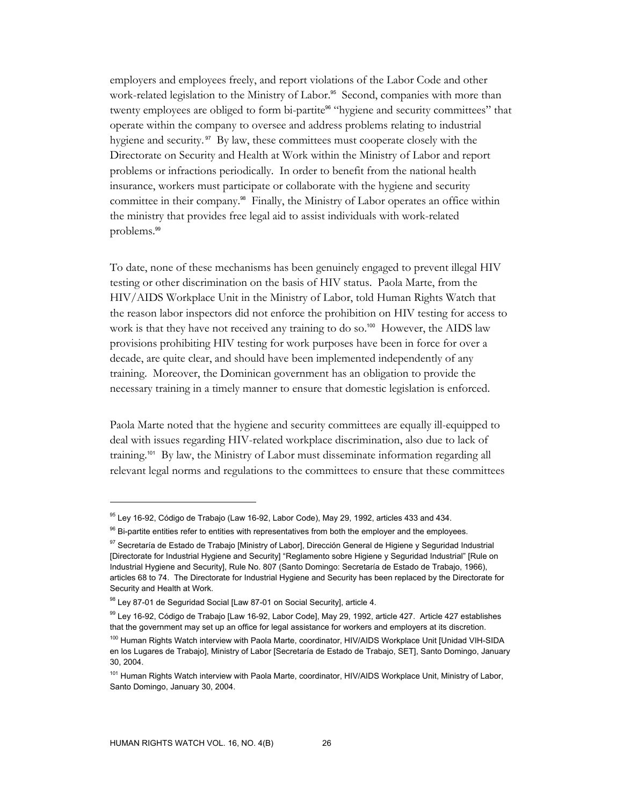employers and employees freely, and report violations of the Labor Code and other work-related legislation to the Ministry of Labor.<sup>95</sup> Second, companies with more than twenty employees are obliged to form bi-partite<sup>96</sup> "hygiene and security committees" that operate within the company to oversee and address problems relating to industrial hygiene and security.<sup>97</sup> By law, these committees must cooperate closely with the Directorate on Security and Health at Work within the Ministry of Labor and report problems or infractions periodically. In order to benefit from the national health insurance, workers must participate or collaborate with the hygiene and security committee in their company.<sup>98</sup> Finally, the Ministry of Labor operates an office within the ministry that provides free legal aid to assist individuals with work-related problems.<sup>99</sup>

To date, none of these mechanisms has been genuinely engaged to prevent illegal HIV testing or other discrimination on the basis of HIV status. Paola Marte, from the HIV/AIDS Workplace Unit in the Ministry of Labor, told Human Rights Watch that the reason labor inspectors did not enforce the prohibition on HIV testing for access to work is that they have not received any training to do so.<sup>100</sup> However, the AIDS law provisions prohibiting HIV testing for work purposes have been in force for over a decade, are quite clear, and should have been implemented independently of any training. Moreover, the Dominican government has an obligation to provide the necessary training in a timely manner to ensure that domestic legislation is enforced.

Paola Marte noted that the hygiene and security committees are equally ill-equipped to deal with issues regarding HIV-related workplace discrimination, also due to lack of training.101 By law, the Ministry of Labor must disseminate information regarding all relevant legal norms and regulations to the committees to ensure that these committees

 $95$  Ley 16-92, Código de Trabajo (Law 16-92, Labor Code), May 29, 1992, articles 433 and 434.

<sup>&</sup>lt;sup>96</sup> Bi-partite entities refer to entities with representatives from both the employer and the employees.

<sup>97</sup> Secretaría de Estado de Trabajo [Ministry of Labor], Dirección General de Higiene y Seguridad Industrial [Directorate for Industrial Hygiene and Security] "Reglamento sobre Higiene y Seguridad Industrial" [Rule on Industrial Hygiene and Security], Rule No. 807 (Santo Domingo: Secretaría de Estado de Trabajo, 1966), articles 68 to 74. The Directorate for Industrial Hygiene and Security has been replaced by the Directorate for Security and Health at Work.

<sup>98</sup> Ley 87-01 de Seguridad Social [Law 87-01 on Social Security], article 4.

<sup>99</sup> Ley 16-92, Código de Trabajo [Law 16-92, Labor Code], May 29, 1992, article 427. Article 427 establishes that the government may set up an office for legal assistance for workers and employers at its discretion.

<sup>&</sup>lt;sup>100</sup> Human Rights Watch interview with Paola Marte, coordinator, HIV/AIDS Workplace Unit [Unidad VIH-SIDA en los Lugares de Trabajo], Ministry of Labor [Secretaría de Estado de Trabajo, SET], Santo Domingo, January 30, 2004.

<sup>&</sup>lt;sup>101</sup> Human Rights Watch interview with Paola Marte, coordinator, HIV/AIDS Workplace Unit, Ministry of Labor, Santo Domingo, January 30, 2004.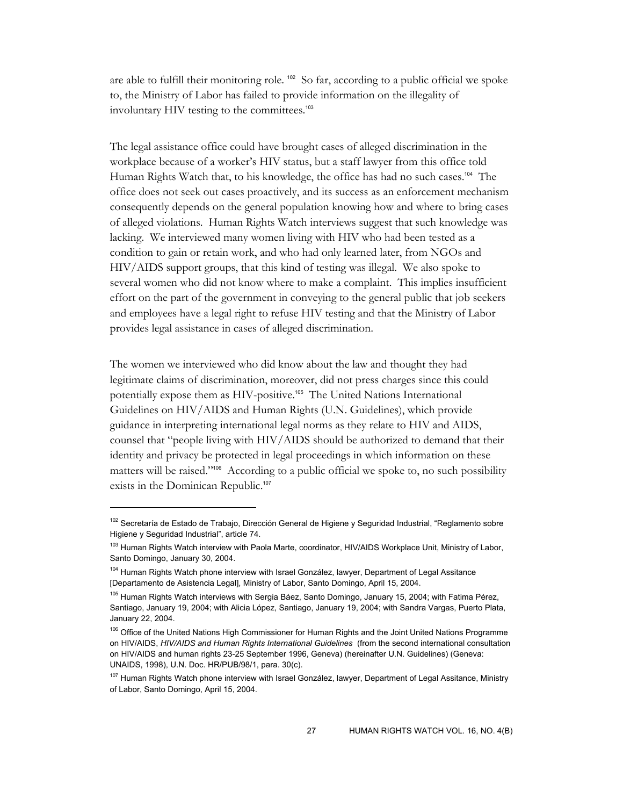are able to fulfill their monitoring role. 102 So far, according to a public official we spoke to, the Ministry of Labor has failed to provide information on the illegality of involuntary HIV testing to the committees.<sup>103</sup>

The legal assistance office could have brought cases of alleged discrimination in the workplace because of a worker's HIV status, but a staff lawyer from this office told Human Rights Watch that, to his knowledge, the office has had no such cases.104 The office does not seek out cases proactively, and its success as an enforcement mechanism consequently depends on the general population knowing how and where to bring cases of alleged violations. Human Rights Watch interviews suggest that such knowledge was lacking. We interviewed many women living with HIV who had been tested as a condition to gain or retain work, and who had only learned later, from NGOs and HIV/AIDS support groups, that this kind of testing was illegal. We also spoke to several women who did not know where to make a complaint. This implies insufficient effort on the part of the government in conveying to the general public that job seekers and employees have a legal right to refuse HIV testing and that the Ministry of Labor provides legal assistance in cases of alleged discrimination.

The women we interviewed who did know about the law and thought they had legitimate claims of discrimination, moreover, did not press charges since this could potentially expose them as HIV-positive.105 The United Nations International Guidelines on HIV/AIDS and Human Rights (U.N. Guidelines), which provide guidance in interpreting international legal norms as they relate to HIV and AIDS, counsel that "people living with HIV/AIDS should be authorized to demand that their identity and privacy be protected in legal proceedings in which information on these matters will be raised."106 According to a public official we spoke to, no such possibility exists in the Dominican Republic.<sup>107</sup>

<sup>102</sup> Secretaría de Estado de Trabajo, Dirección General de Higiene y Seguridad Industrial, "Reglamento sobre Higiene y Seguridad Industrial", article 74.

<sup>&</sup>lt;sup>103</sup> Human Rights Watch interview with Paola Marte, coordinator, HIV/AIDS Workplace Unit, Ministry of Labor, Santo Domingo, January 30, 2004.

<sup>&</sup>lt;sup>104</sup> Human Rights Watch phone interview with Israel González, lawyer, Department of Legal Assitance [Departamento de Asistencia Legal], Ministry of Labor, Santo Domingo, April 15, 2004.

<sup>105</sup> Human Rights Watch interviews with Sergia Báez, Santo Domingo, January 15, 2004; with Fatima Pérez, Santiago, January 19, 2004; with Alicia López, Santiago, January 19, 2004; with Sandra Vargas, Puerto Plata, January 22, 2004.

<sup>&</sup>lt;sup>106</sup> Office of the United Nations High Commissioner for Human Rights and the Joint United Nations Programme on HIV/AIDS, *HIV/AIDS and Human Rights International Guidelines* (from the second international consultation on HIV/AIDS and human rights 23-25 September 1996, Geneva) (hereinafter U.N. Guidelines) (Geneva: UNAIDS, 1998), U.N. Doc. HR/PUB/98/1, para. 30(c).

<sup>&</sup>lt;sup>107</sup> Human Rights Watch phone interview with Israel González, lawyer, Department of Legal Assitance, Ministry of Labor, Santo Domingo, April 15, 2004.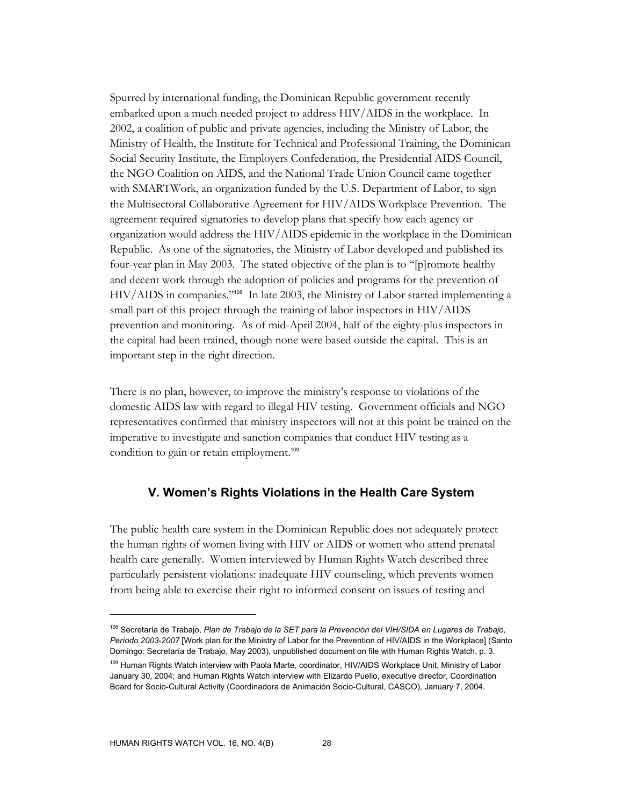Spurred by international funding, the Dominican Republic government recently embarked upon a much needed project to address HIV/AIDS in the workplace. In 2002, a coalition of public and private agencies, including the Ministry of Labor, the Ministry of Health, the Institute for Technical and Professional Training, the Dominican Social Security Institute, the Employers Confederation, the Presidential AIDS Council, the NGO Coalition on AIDS, and the National Trade Union Council came together with SMARTWork, an organization funded by the U.S. Department of Labor, to sign the Multisectoral Collaborative Agreement for HIV/AIDS Workplace Prevention. The agreement required signatories to develop plans that specify how each agency or organization would address the HIV/AIDS epidemic in the workplace in the Dominican Republic. As one of the signatories, the Ministry of Labor developed and published its four-year plan in May 2003. The stated objective of the plan is to "[p]romote healthy and decent work through the adoption of policies and programs for the prevention of  $HIV/AIDS$  in companies."<sup>108</sup> In late 2003, the Ministry of Labor started implementing a small part of this project through the training of labor inspectors in HIV/AIDS prevention and monitoring. As of mid-April 2004, half of the eighty-plus inspectors in the capital had been trained, though none were based outside the capital. This is an important step in the right direction.

There is no plan, however, to improve the ministry's response to violations of the domestic AIDS law with regard to illegal HIV testing. Government officials and NGO representatives confirmed that ministry inspectors will not at this point be trained on the imperative to investigate and sanction companies that conduct HIV testing as a condition to gain or retain employment.<sup>109</sup>

## **V. Women's Rights Violations in the Health Care System**

The public health care system in the Dominican Republic does not adequately protect the human rights of women living with HIV or AIDS or women who attend prenatal health care generally. Women interviewed by Human Rights Watch described three particularly persistent violations: inadequate HIV counseling, which prevents women from being able to exercise their right to informed consent on issues of testing and

<sup>108</sup> Secretaría de Trabajo, *Plan de Trabajo de la SET para la Prevención del VIH/SIDA en Lugares de Trabajo, Período 2003-2007* [Work plan for the Ministry of Labor for the Prevention of HIV/AIDS in the Workplace] (Santo Domingo: Secretaría de Trabajo, May 2003), unpublished document on file with Human Rights Watch, p. 3.

<sup>&</sup>lt;sup>109</sup> Human Rights Watch interview with Paola Marte, coordinator, HIV/AIDS Workplace Unit, Ministry of Labor January 30, 2004; and Human Rights Watch interview with Elizardo Puello, executive director, Coordination Board for Socio-Cultural Activity (Coordinadora de Animación Socio-Cultural, CASCO), January 7, 2004.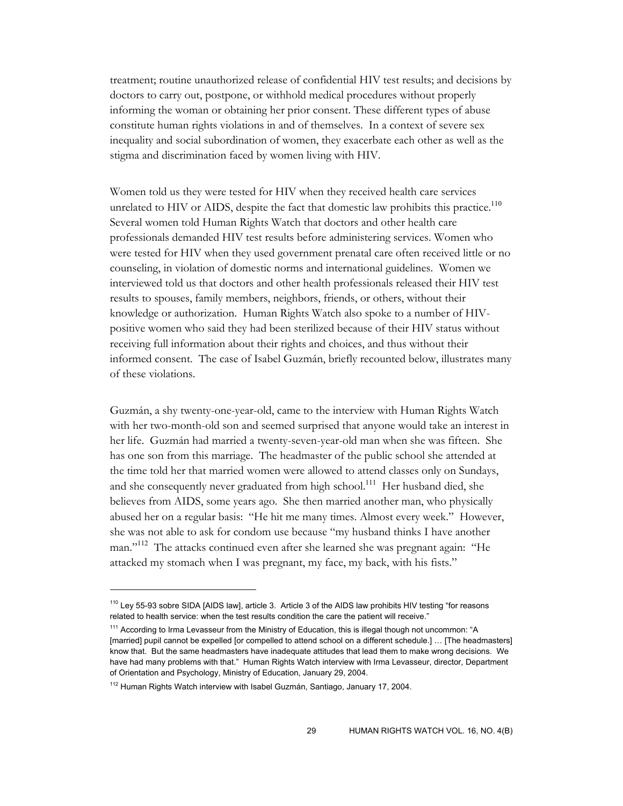treatment; routine unauthorized release of confidential HIV test results; and decisions by doctors to carry out, postpone, or withhold medical procedures without properly informing the woman or obtaining her prior consent. These different types of abuse constitute human rights violations in and of themselves. In a context of severe sex inequality and social subordination of women, they exacerbate each other as well as the stigma and discrimination faced by women living with HIV.

Women told us they were tested for HIV when they received health care services unrelated to HIV or AIDS, despite the fact that domestic law prohibits this practice.<sup>110</sup> Several women told Human Rights Watch that doctors and other health care professionals demanded HIV test results before administering services. Women who were tested for HIV when they used government prenatal care often received little or no counseling, in violation of domestic norms and international guidelines. Women we interviewed told us that doctors and other health professionals released their HIV test results to spouses, family members, neighbors, friends, or others, without their knowledge or authorization. Human Rights Watch also spoke to a number of HIVpositive women who said they had been sterilized because of their HIV status without receiving full information about their rights and choices, and thus without their informed consent. The case of Isabel Guzmán, briefly recounted below, illustrates many of these violations.

Guzmán, a shy twenty-one-year-old, came to the interview with Human Rights Watch with her two-month-old son and seemed surprised that anyone would take an interest in her life. Guzmán had married a twenty-seven-year-old man when she was fifteen. She has one son from this marriage. The headmaster of the public school she attended at the time told her that married women were allowed to attend classes only on Sundays, and she consequently never graduated from high school.<sup>111</sup> Her husband died, she believes from AIDS, some years ago. She then married another man, who physically abused her on a regular basis: "He hit me many times. Almost every week." However, she was not able to ask for condom use because "my husband thinks I have another man."<sup>112</sup> The attacks continued even after she learned she was pregnant again: "He attacked my stomach when I was pregnant, my face, my back, with his fists."

<sup>&</sup>lt;sup>110</sup> Ley 55-93 sobre SIDA [AIDS law], article 3. Article 3 of the AIDS law prohibits HIV testing "for reasons related to health service: when the test results condition the care the patient will receive."

<sup>&</sup>lt;sup>111</sup> According to Irma Levasseur from the Ministry of Education, this is illegal though not uncommon: "A [married] pupil cannot be expelled [or compelled to attend school on a different schedule.] ... [The headmasters] know that. But the same headmasters have inadequate attitudes that lead them to make wrong decisions. We have had many problems with that." Human Rights Watch interview with Irma Levasseur, director, Department of Orientation and Psychology, Ministry of Education, January 29, 2004.

<sup>&</sup>lt;sup>112</sup> Human Rights Watch interview with Isabel Guzmán, Santiago, January 17, 2004.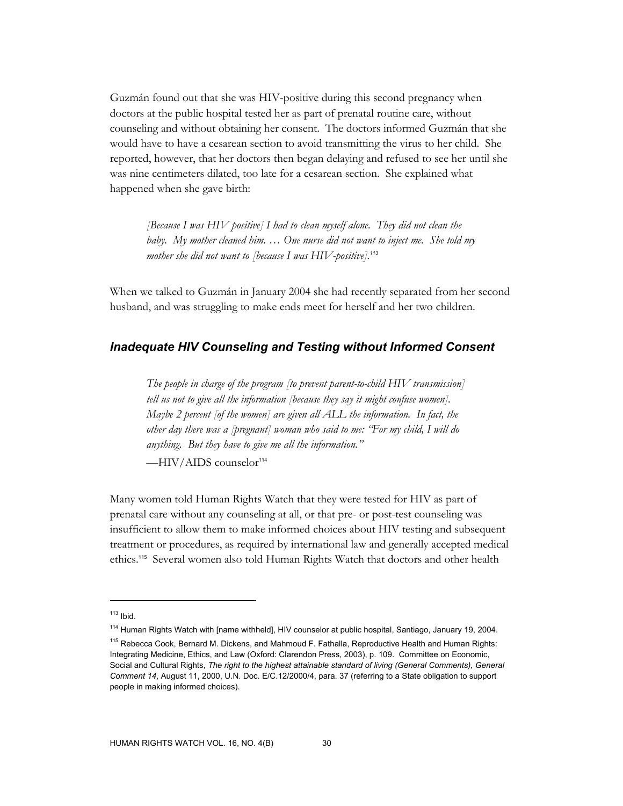Guzmán found out that she was HIV-positive during this second pregnancy when doctors at the public hospital tested her as part of prenatal routine care, without counseling and without obtaining her consent. The doctors informed Guzmán that she would have to have a cesarean section to avoid transmitting the virus to her child. She reported, however, that her doctors then began delaying and refused to see her until she was nine centimeters dilated, too late for a cesarean section. She explained what happened when she gave birth:

*[Because I was HIV positive] I had to clean myself alone. They did not clean the baby. My mother cleaned him. … One nurse did not want to inject me. She told my mother she did not want to [because I was HIV-positive].<sup>113</sup>* 

When we talked to Guzmán in January 2004 she had recently separated from her second husband, and was struggling to make ends meet for herself and her two children.

## *Inadequate HIV Counseling and Testing without Informed Consent*

*The people in charge of the program [to prevent parent-to-child HIV transmission] tell us not to give all the information [because they say it might confuse women]. Maybe 2 percent [of the women] are given all ALL the information. In fact, the other day there was a [pregnant] woman who said to me: "For my child, I will do anything. But they have to give me all the information."* 

 $-HIV/AIDS$  counselor<sup>114</sup>

Many women told Human Rights Watch that they were tested for HIV as part of prenatal care without any counseling at all, or that pre- or post-test counseling was insufficient to allow them to make informed choices about HIV testing and subsequent treatment or procedures, as required by international law and generally accepted medical ethics.115 Several women also told Human Rights Watch that doctors and other health

 $113$  Ibid.

<sup>&</sup>lt;sup>114</sup> Human Rights Watch with [name withheld], HIV counselor at public hospital, Santiago, January 19, 2004. <sup>115</sup> Rebecca Cook, Bernard M. Dickens, and Mahmoud F. Fathalla, Reproductive Health and Human Rights: Integrating Medicine, Ethics, and Law (Oxford: Clarendon Press, 2003), p. 109. Committee on Economic, Social and Cultural Rights, *The right to the highest attainable standard of living (General Comments), General Comment 14*, August 11, 2000, U.N. Doc. E/C.12/2000/4, para. 37 (referring to a State obligation to support people in making informed choices).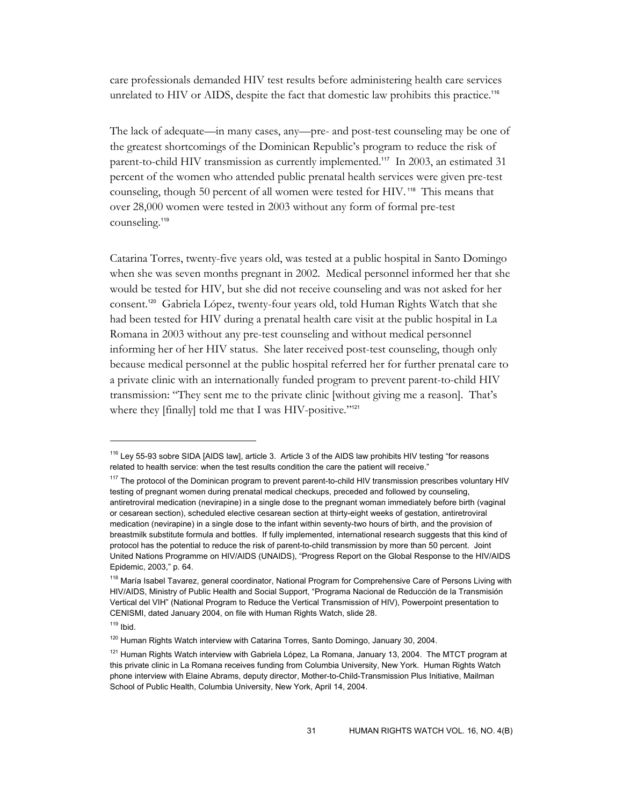care professionals demanded HIV test results before administering health care services unrelated to HIV or AIDS, despite the fact that domestic law prohibits this practice.<sup>116</sup>

The lack of adequate—in many cases, any—pre- and post-test counseling may be one of the greatest shortcomings of the Dominican Republic's program to reduce the risk of parent-to-child HIV transmission as currently implemented.<sup>117</sup> In 2003, an estimated 31 percent of the women who attended public prenatal health services were given pre-test counseling, though 50 percent of all women were tested for HIV. 118 This means that over 28,000 women were tested in 2003 without any form of formal pre-test counseling.<sup>119</sup>

Catarina Torres, twenty-five years old, was tested at a public hospital in Santo Domingo when she was seven months pregnant in 2002. Medical personnel informed her that she would be tested for HIV, but she did not receive counseling and was not asked for her consent.120 Gabriela López, twenty-four years old, told Human Rights Watch that she had been tested for HIV during a prenatal health care visit at the public hospital in La Romana in 2003 without any pre-test counseling and without medical personnel informing her of her HIV status. She later received post-test counseling, though only because medical personnel at the public hospital referred her for further prenatal care to a private clinic with an internationally funded program to prevent parent-to-child HIV transmission: "They sent me to the private clinic [without giving me a reason]. That's where they [finally] told me that I was HIV-positive."<sup>121</sup>

<sup>&</sup>lt;sup>116</sup> Ley 55-93 sobre SIDA [AIDS law], article 3. Article 3 of the AIDS law prohibits HIV testing "for reasons related to health service: when the test results condition the care the patient will receive."

<sup>&</sup>lt;sup>117</sup> The protocol of the Dominican program to prevent parent-to-child HIV transmission prescribes voluntary HIV testing of pregnant women during prenatal medical checkups, preceded and followed by counseling, antiretroviral medication (nevirapine) in a single dose to the pregnant woman immediately before birth (vaginal or cesarean section), scheduled elective cesarean section at thirty-eight weeks of gestation, antiretroviral medication (nevirapine) in a single dose to the infant within seventy-two hours of birth, and the provision of breastmilk substitute formula and bottles. If fully implemented, international research suggests that this kind of protocol has the potential to reduce the risk of parent-to-child transmission by more than 50 percent. Joint United Nations Programme on HIV/AIDS (UNAIDS), "Progress Report on the Global Response to the HIV/AIDS Epidemic, 2003," p. 64.

<sup>&</sup>lt;sup>118</sup> María Isabel Tavarez, general coordinator, National Program for Comprehensive Care of Persons Living with HIV/AIDS, Ministry of Public Health and Social Support, "Programa Nacional de Reducción de la Transmisión Vertical del VIH" (National Program to Reduce the Vertical Transmission of HIV), Powerpoint presentation to CENISMI, dated January 2004, on file with Human Rights Watch, slide 28.

 $119$  Ibid.

<sup>&</sup>lt;sup>120</sup> Human Rights Watch interview with Catarina Torres, Santo Domingo, January 30, 2004.

<sup>&</sup>lt;sup>121</sup> Human Rights Watch interview with Gabriela López, La Romana, January 13, 2004. The MTCT program at this private clinic in La Romana receives funding from Columbia University, New York. Human Rights Watch phone interview with Elaine Abrams, deputy director, Mother-to-Child-Transmission Plus Initiative, Mailman School of Public Health, Columbia University, New York, April 14, 2004.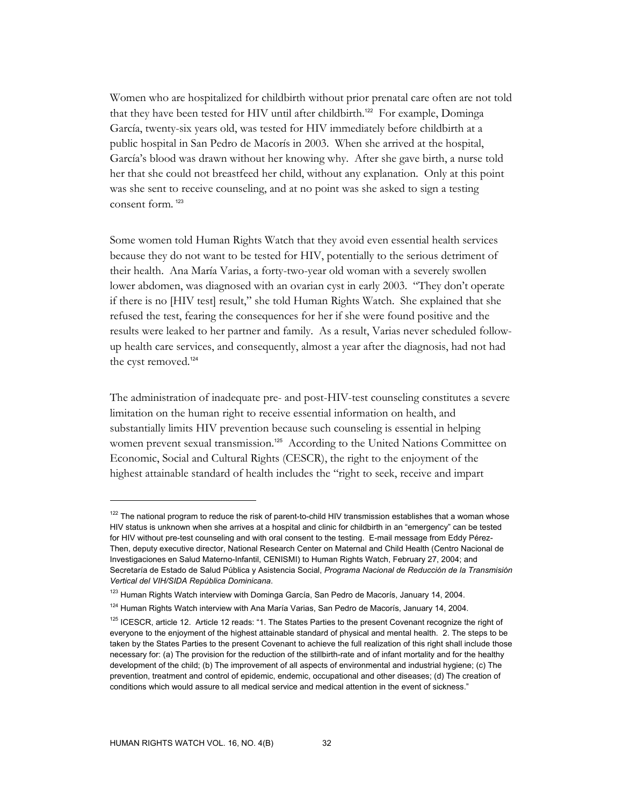Women who are hospitalized for childbirth without prior prenatal care often are not told that they have been tested for HIV until after childbirth.<sup>122</sup> For example, Dominga García, twenty-six years old, was tested for HIV immediately before childbirth at a public hospital in San Pedro de Macorís in 2003. When she arrived at the hospital, García's blood was drawn without her knowing why. After she gave birth, a nurse told her that she could not breastfeed her child, without any explanation. Only at this point was she sent to receive counseling, and at no point was she asked to sign a testing consent form. <sup>123</sup>

Some women told Human Rights Watch that they avoid even essential health services because they do not want to be tested for HIV, potentially to the serious detriment of their health. Ana María Varias, a forty-two-year old woman with a severely swollen lower abdomen, was diagnosed with an ovarian cyst in early 2003. "They don't operate if there is no [HIV test] result," she told Human Rights Watch. She explained that she refused the test, fearing the consequences for her if she were found positive and the results were leaked to her partner and family. As a result, Varias never scheduled followup health care services, and consequently, almost a year after the diagnosis, had not had the cyst removed.<sup>124</sup>

The administration of inadequate pre- and post-HIV-test counseling constitutes a severe limitation on the human right to receive essential information on health, and substantially limits HIV prevention because such counseling is essential in helping women prevent sexual transmission.<sup>125</sup> According to the United Nations Committee on Economic, Social and Cultural Rights (CESCR), the right to the enjoyment of the highest attainable standard of health includes the "right to seek, receive and impart

<sup>&</sup>lt;sup>122</sup> The national program to reduce the risk of parent-to-child HIV transmission establishes that a woman whose HIV status is unknown when she arrives at a hospital and clinic for childbirth in an "emergency" can be tested for HIV without pre-test counseling and with oral consent to the testing. E-mail message from Eddy Pérez-Then, deputy executive director, National Research Center on Maternal and Child Health (Centro Nacional de Investigaciones en Salud Materno-Infantil, CENISMI) to Human Rights Watch, February 27, 2004; and Secretaría de Estado de Salud Pública y Asistencia Social, *Programa Nacional de Reducción de la Transmisión Vertical del VIH/SIDA República Dominicana*.

<sup>&</sup>lt;sup>123</sup> Human Rights Watch interview with Dominga García, San Pedro de Macorís, January 14, 2004.

<sup>&</sup>lt;sup>124</sup> Human Rights Watch interview with Ana María Varias, San Pedro de Macorís, January 14, 2004.

<sup>&</sup>lt;sup>125</sup> ICESCR, article 12. Article 12 reads: "1. The States Parties to the present Covenant recognize the right of everyone to the enjoyment of the highest attainable standard of physical and mental health. 2. The steps to be taken by the States Parties to the present Covenant to achieve the full realization of this right shall include those necessary for: (a) The provision for the reduction of the stillbirth-rate and of infant mortality and for the healthy development of the child; (b) The improvement of all aspects of environmental and industrial hygiene; (c) The prevention, treatment and control of epidemic, endemic, occupational and other diseases; (d) The creation of conditions which would assure to all medical service and medical attention in the event of sickness."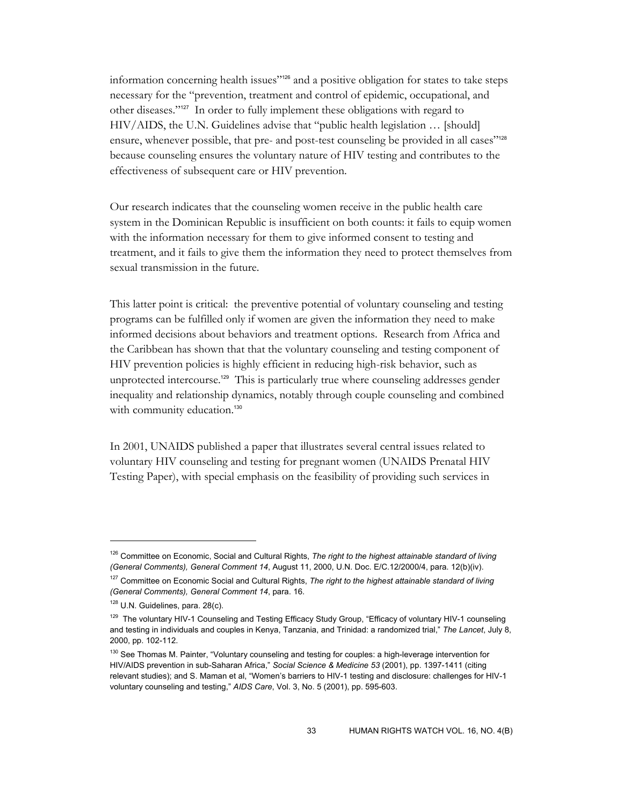information concerning health issues"126 and a positive obligation for states to take steps necessary for the "prevention, treatment and control of epidemic, occupational, and other diseases."127 In order to fully implement these obligations with regard to HIV/AIDS, the U.N. Guidelines advise that "public health legislation … [should] ensure, whenever possible, that pre- and post-test counseling be provided in all cases"<sup>128</sup> because counseling ensures the voluntary nature of HIV testing and contributes to the effectiveness of subsequent care or HIV prevention.

Our research indicates that the counseling women receive in the public health care system in the Dominican Republic is insufficient on both counts: it fails to equip women with the information necessary for them to give informed consent to testing and treatment, and it fails to give them the information they need to protect themselves from sexual transmission in the future.

This latter point is critical: the preventive potential of voluntary counseling and testing programs can be fulfilled only if women are given the information they need to make informed decisions about behaviors and treatment options. Research from Africa and the Caribbean has shown that that the voluntary counseling and testing component of HIV prevention policies is highly efficient in reducing high-risk behavior, such as unprotected intercourse.129 This is particularly true where counseling addresses gender inequality and relationship dynamics, notably through couple counseling and combined with community education.<sup>130</sup>

In 2001, UNAIDS published a paper that illustrates several central issues related to voluntary HIV counseling and testing for pregnant women (UNAIDS Prenatal HIV Testing Paper), with special emphasis on the feasibility of providing such services in

<sup>126</sup> Committee on Economic, Social and Cultural Rights, *The right to the highest attainable standard of living (General Comments), General Comment 14*, August 11, 2000, U.N. Doc. E/C.12/2000/4, para. 12(b)(iv).

<sup>127</sup> Committee on Economic Social and Cultural Rights, *The right to the highest attainable standard of living (General Comments), General Comment 14*, para. 16.

 $128$  U.N. Guidelines, para. 28(c).

<sup>129</sup> The voluntary HIV-1 Counseling and Testing Efficacy Study Group, "Efficacy of voluntary HIV-1 counseling and testing in individuals and couples in Kenya, Tanzania, and Trinidad: a randomized trial," *The Lancet*, July 8, 2000, pp. 102-112.

<sup>&</sup>lt;sup>130</sup> See Thomas M. Painter, "Voluntary counseling and testing for couples: a high-leverage intervention for HIV/AIDS prevention in sub-Saharan Africa," *Social Science & Medicine 53* (2001), pp. 1397-1411 (citing relevant studies); and S. Maman et al, "Women's barriers to HIV-1 testing and disclosure: challenges for HIV-1 voluntary counseling and testing," *AIDS Care*, Vol. 3, No. 5 (2001), pp. 595-603.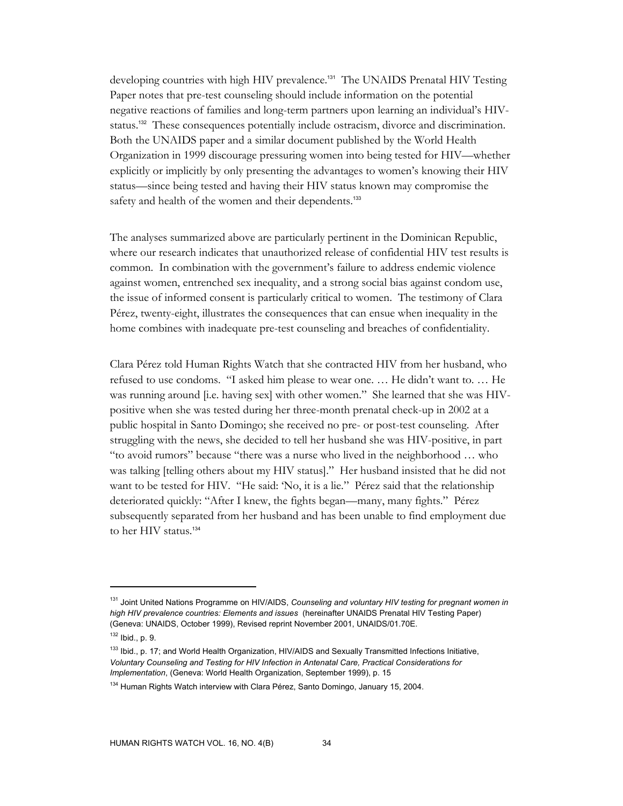developing countries with high HIV prevalence.131 The UNAIDS Prenatal HIV Testing Paper notes that pre-test counseling should include information on the potential negative reactions of families and long-term partners upon learning an individual's HIVstatus.<sup>132</sup> These consequences potentially include ostracism, divorce and discrimination. Both the UNAIDS paper and a similar document published by the World Health Organization in 1999 discourage pressuring women into being tested for HIV—whether explicitly or implicitly by only presenting the advantages to women's knowing their HIV status—since being tested and having their HIV status known may compromise the safety and health of the women and their dependents.<sup>133</sup>

The analyses summarized above are particularly pertinent in the Dominican Republic, where our research indicates that unauthorized release of confidential HIV test results is common. In combination with the government's failure to address endemic violence against women, entrenched sex inequality, and a strong social bias against condom use, the issue of informed consent is particularly critical to women. The testimony of Clara Pérez, twenty-eight, illustrates the consequences that can ensue when inequality in the home combines with inadequate pre-test counseling and breaches of confidentiality.

Clara Pérez told Human Rights Watch that she contracted HIV from her husband, who refused to use condoms. "I asked him please to wear one. … He didn't want to. … He was running around [i.e. having sex] with other women." She learned that she was HIVpositive when she was tested during her three-month prenatal check-up in 2002 at a public hospital in Santo Domingo; she received no pre- or post-test counseling. After struggling with the news, she decided to tell her husband she was HIV-positive, in part "to avoid rumors" because "there was a nurse who lived in the neighborhood … who was talking [telling others about my HIV status]." Her husband insisted that he did not want to be tested for HIV. "He said: 'No, it is a lie." Pérez said that the relationship deteriorated quickly: "After I knew, the fights began—many, many fights." Pérez subsequently separated from her husband and has been unable to find employment due to her HIV status.<sup>134</sup>

<sup>&</sup>lt;sup>131</sup> Joint United Nations Programme on HIV/AIDS, *Counseling and voluntary HIV testing for pregnant women in high HIV prevalence countries: Elements and issues* (hereinafter UNAIDS Prenatal HIV Testing Paper) (Geneva: UNAIDS, October 1999), Revised reprint November 2001, UNAIDS/01.70E.

 $132$  Ibid., p. 9.

<sup>&</sup>lt;sup>133</sup> Ibid., p. 17; and World Health Organization, HIV/AIDS and Sexually Transmitted Infections Initiative, *Voluntary Counseling and Testing for HIV Infection in Antenatal Care, Practical Considerations for Implementation*, (Geneva: World Health Organization, September 1999), p. 15

<sup>&</sup>lt;sup>134</sup> Human Rights Watch interview with Clara Pérez, Santo Domingo, January 15, 2004.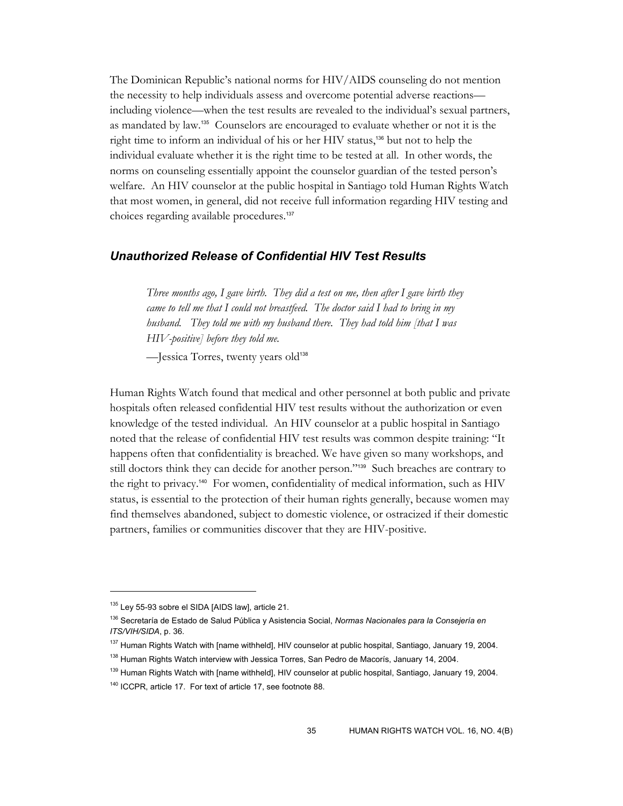The Dominican Republic's national norms for HIV/AIDS counseling do not mention the necessity to help individuals assess and overcome potential adverse reactions including violence—when the test results are revealed to the individual's sexual partners, as mandated by law.135 Counselors are encouraged to evaluate whether or not it is the right time to inform an individual of his or her HIV status,<sup>136</sup> but not to help the individual evaluate whether it is the right time to be tested at all. In other words, the norms on counseling essentially appoint the counselor guardian of the tested person's welfare. An HIV counselor at the public hospital in Santiago told Human Rights Watch that most women, in general, did not receive full information regarding HIV testing and choices regarding available procedures.<sup>137</sup>

#### *Unauthorized Release of Confidential HIV Test Results*

*Three months ago, I gave birth. They did a test on me, then after I gave birth they came to tell me that I could not breastfeed. The doctor said I had to bring in my husband. They told me with my husband there. They had told him [that I was HIV-positive] before they told me.* 

-Jessica Torres, twenty years old<sup>138</sup>

Human Rights Watch found that medical and other personnel at both public and private hospitals often released confidential HIV test results without the authorization or even knowledge of the tested individual. An HIV counselor at a public hospital in Santiago noted that the release of confidential HIV test results was common despite training: "It happens often that confidentiality is breached. We have given so many workshops, and still doctors think they can decide for another person."<sup>139</sup> Such breaches are contrary to the right to privacy.140 For women, confidentiality of medical information, such as HIV status, is essential to the protection of their human rights generally, because women may find themselves abandoned, subject to domestic violence, or ostracized if their domestic partners, families or communities discover that they are HIV-positive.

<sup>135</sup> Ley 55-93 sobre el SIDA [AIDS law], article 21.

<sup>136</sup> Secretaría de Estado de Salud Pública y Asistencia Social, *Normas Nacionales para la Consejería en ITS/VIH/SIDA*, p. 36.

<sup>&</sup>lt;sup>137</sup> Human Rights Watch with [name withheld], HIV counselor at public hospital, Santiago, January 19, 2004.

<sup>&</sup>lt;sup>138</sup> Human Rights Watch interview with Jessica Torres, San Pedro de Macorís, January 14, 2004.

<sup>&</sup>lt;sup>139</sup> Human Rights Watch with [name withheld], HIV counselor at public hospital, Santiago, January 19, 2004.

<sup>&</sup>lt;sup>140</sup> ICCPR, article 17. For text of article 17, see footnote 88.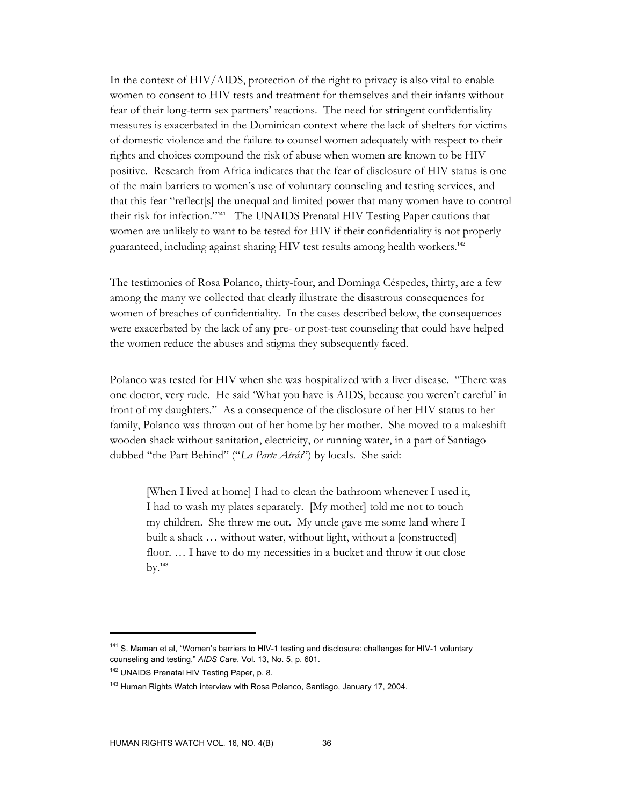In the context of HIV/AIDS, protection of the right to privacy is also vital to enable women to consent to HIV tests and treatment for themselves and their infants without fear of their long-term sex partners' reactions. The need for stringent confidentiality measures is exacerbated in the Dominican context where the lack of shelters for victims of domestic violence and the failure to counsel women adequately with respect to their rights and choices compound the risk of abuse when women are known to be HIV positive. Research from Africa indicates that the fear of disclosure of HIV status is one of the main barriers to women's use of voluntary counseling and testing services, and that this fear "reflect[s] the unequal and limited power that many women have to control their risk for infection."141 The UNAIDS Prenatal HIV Testing Paper cautions that women are unlikely to want to be tested for HIV if their confidentiality is not properly guaranteed, including against sharing HIV test results among health workers.<sup>142</sup>

The testimonies of Rosa Polanco, thirty-four, and Dominga Céspedes, thirty, are a few among the many we collected that clearly illustrate the disastrous consequences for women of breaches of confidentiality. In the cases described below, the consequences were exacerbated by the lack of any pre- or post-test counseling that could have helped the women reduce the abuses and stigma they subsequently faced.

Polanco was tested for HIV when she was hospitalized with a liver disease. "There was one doctor, very rude. He said 'What you have is AIDS, because you weren't careful' in front of my daughters." As a consequence of the disclosure of her HIV status to her family, Polanco was thrown out of her home by her mother. She moved to a makeshift wooden shack without sanitation, electricity, or running water, in a part of Santiago dubbed "the Part Behind" ("*La Parte Atrás*") by locals. She said:

[When I lived at home] I had to clean the bathroom whenever I used it, I had to wash my plates separately. [My mother] told me not to touch my children. She threw me out. My uncle gave me some land where I built a shack ... without water, without light, without a [constructed] floor. … I have to do my necessities in a bucket and throw it out close  $bv.$ <sup>143</sup>

<sup>&</sup>lt;sup>141</sup> S. Maman et al, "Women's barriers to HIV-1 testing and disclosure: challenges for HIV-1 voluntary counseling and testing," *AIDS Care*, Vol. 13, No. 5, p. 601.

<sup>&</sup>lt;sup>142</sup> UNAIDS Prenatal HIV Testing Paper, p. 8.

<sup>&</sup>lt;sup>143</sup> Human Rights Watch interview with Rosa Polanco, Santiago, January 17, 2004.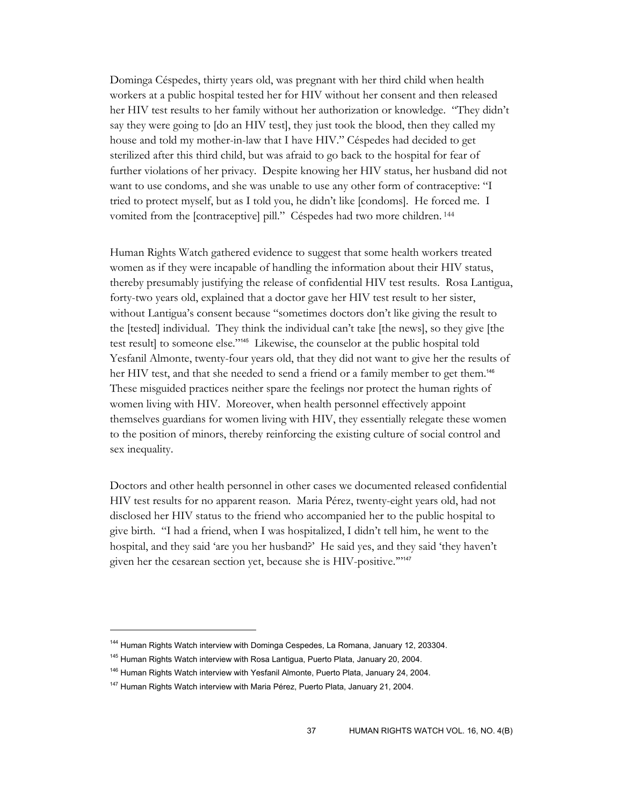Dominga Céspedes, thirty years old, was pregnant with her third child when health workers at a public hospital tested her for HIV without her consent and then released her HIV test results to her family without her authorization or knowledge. "They didn't say they were going to [do an HIV test], they just took the blood, then they called my house and told my mother-in-law that I have HIV." Céspedes had decided to get sterilized after this third child, but was afraid to go back to the hospital for fear of further violations of her privacy. Despite knowing her HIV status, her husband did not want to use condoms, and she was unable to use any other form of contraceptive: "I tried to protect myself, but as I told you, he didn't like [condoms]. He forced me. I vomited from the [contraceptive] pill." Céspedes had two more children. 144

Human Rights Watch gathered evidence to suggest that some health workers treated women as if they were incapable of handling the information about their HIV status, thereby presumably justifying the release of confidential HIV test results. Rosa Lantigua, forty-two years old, explained that a doctor gave her HIV test result to her sister, without Lantigua's consent because "sometimes doctors don't like giving the result to the [tested] individual. They think the individual can't take [the news], so they give [the test result] to someone else."145 Likewise, the counselor at the public hospital told Yesfanil Almonte, twenty-four years old, that they did not want to give her the results of her HIV test, and that she needed to send a friend or a family member to get them.<sup>146</sup> These misguided practices neither spare the feelings nor protect the human rights of women living with HIV. Moreover, when health personnel effectively appoint themselves guardians for women living with HIV, they essentially relegate these women to the position of minors, thereby reinforcing the existing culture of social control and sex inequality.

Doctors and other health personnel in other cases we documented released confidential HIV test results for no apparent reason. Maria Pérez, twenty-eight years old, had not disclosed her HIV status to the friend who accompanied her to the public hospital to give birth. "I had a friend, when I was hospitalized, I didn't tell him, he went to the hospital, and they said 'are you her husband?' He said yes, and they said 'they haven't given her the cesarean section yet, because she is HIV-positive."<sup>147</sup>

<sup>&</sup>lt;sup>144</sup> Human Rights Watch interview with Dominga Cespedes, La Romana, January 12, 203304.

<sup>&</sup>lt;sup>145</sup> Human Rights Watch interview with Rosa Lantigua, Puerto Plata, January 20, 2004.

<sup>&</sup>lt;sup>146</sup> Human Rights Watch interview with Yesfanil Almonte, Puerto Plata, January 24, 2004.

<sup>&</sup>lt;sup>147</sup> Human Rights Watch interview with Maria Pérez, Puerto Plata, January 21, 2004.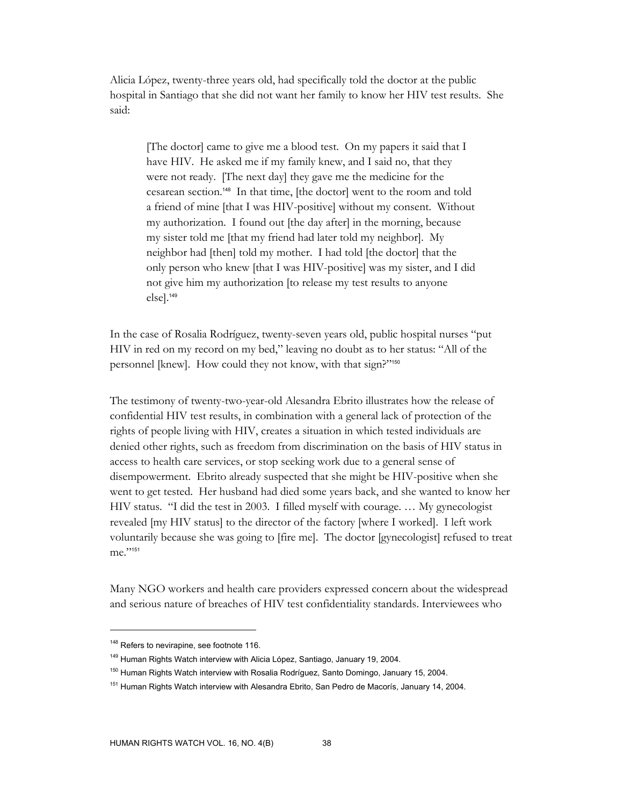Alicia López, twenty-three years old, had specifically told the doctor at the public hospital in Santiago that she did not want her family to know her HIV test results. She said:

[The doctor] came to give me a blood test. On my papers it said that I have HIV. He asked me if my family knew, and I said no, that they were not ready. [The next day] they gave me the medicine for the cesarean section.148 In that time, [the doctor] went to the room and told a friend of mine [that I was HIV-positive] without my consent. Without my authorization. I found out [the day after] in the morning, because my sister told me [that my friend had later told my neighbor]. My neighbor had [then] told my mother. I had told [the doctor] that the only person who knew [that I was HIV-positive] was my sister, and I did not give him my authorization [to release my test results to anyone else].<sup>149</sup>

In the case of Rosalia Rodríguez, twenty-seven years old, public hospital nurses "put HIV in red on my record on my bed," leaving no doubt as to her status: "All of the personnel [knew]. How could they not know, with that sign?"150

The testimony of twenty-two-year-old Alesandra Ebrito illustrates how the release of confidential HIV test results, in combination with a general lack of protection of the rights of people living with HIV, creates a situation in which tested individuals are denied other rights, such as freedom from discrimination on the basis of HIV status in access to health care services, or stop seeking work due to a general sense of disempowerment. Ebrito already suspected that she might be HIV-positive when she went to get tested. Her husband had died some years back, and she wanted to know her HIV status. "I did the test in 2003. I filled myself with courage. … My gynecologist revealed [my HIV status] to the director of the factory [where I worked]. I left work voluntarily because she was going to [fire me]. The doctor [gynecologist] refused to treat me."151

Many NGO workers and health care providers expressed concern about the widespread and serious nature of breaches of HIV test confidentiality standards. Interviewees who

<sup>&</sup>lt;sup>148</sup> Refers to nevirapine, see footnote 116.

<sup>&</sup>lt;sup>149</sup> Human Rights Watch interview with Alicia López, Santiago, January 19, 2004.

<sup>&</sup>lt;sup>150</sup> Human Rights Watch interview with Rosalia Rodríguez, Santo Domingo, January 15, 2004.

<sup>151</sup> Human Rights Watch interview with Alesandra Ebrito, San Pedro de Macorís, January 14, 2004.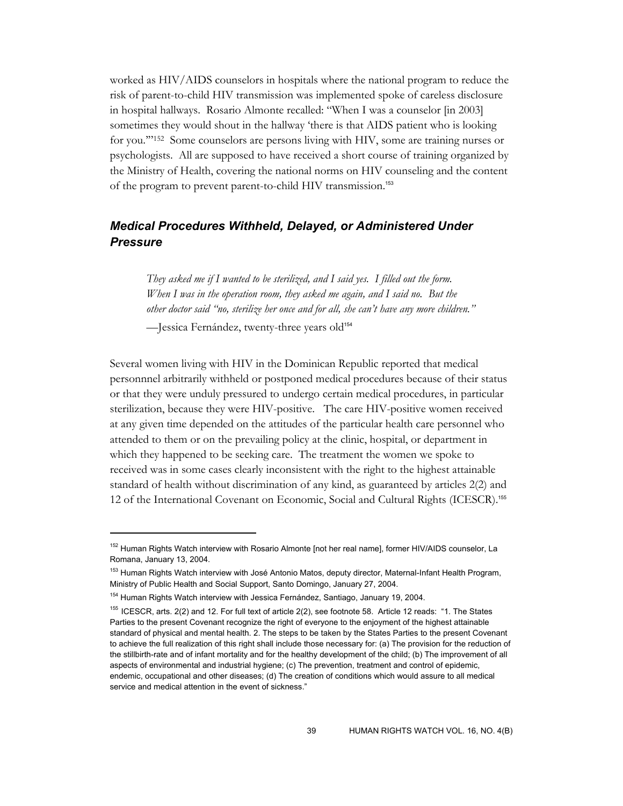worked as HIV/AIDS counselors in hospitals where the national program to reduce the risk of parent-to-child HIV transmission was implemented spoke of careless disclosure in hospital hallways. Rosario Almonte recalled: "When I was a counselor [in 2003] sometimes they would shout in the hallway 'there is that AIDS patient who is looking for you.'"152 Some counselors are persons living with HIV, some are training nurses or psychologists. All are supposed to have received a short course of training organized by the Ministry of Health, covering the national norms on HIV counseling and the content of the program to prevent parent-to-child HIV transmission.<sup>153</sup>

## *Medical Procedures Withheld, Delayed, or Administered Under Pressure*

*They asked me if I wanted to be sterilized, and I said yes. I filled out the form. When I was in the operation room, they asked me again, and I said no. But the other doctor said "no, sterilize her once and for all, she can't have any more children."* 

—Jessica Fernández, twenty-three years old<sup>154</sup>

Several women living with HIV in the Dominican Republic reported that medical personnnel arbitrarily withheld or postponed medical procedures because of their status or that they were unduly pressured to undergo certain medical procedures, in particular sterilization, because they were HIV-positive. The care HIV-positive women received at any given time depended on the attitudes of the particular health care personnel who attended to them or on the prevailing policy at the clinic, hospital, or department in which they happened to be seeking care. The treatment the women we spoke to received was in some cases clearly inconsistent with the right to the highest attainable standard of health without discrimination of any kind, as guaranteed by articles 2(2) and 12 of the International Covenant on Economic, Social and Cultural Rights (ICESCR).<sup>155</sup>

<sup>&</sup>lt;sup>152</sup> Human Rights Watch interview with Rosario Almonte [not her real name], former HIV/AIDS counselor, La Romana, January 13, 2004.

<sup>&</sup>lt;sup>153</sup> Human Rights Watch interview with José Antonio Matos, deputy director, Maternal-Infant Health Program, Ministry of Public Health and Social Support, Santo Domingo, January 27, 2004.

<sup>&</sup>lt;sup>154</sup> Human Rights Watch interview with Jessica Fernández, Santiago, January 19, 2004.

<sup>155</sup> ICESCR, arts. 2(2) and 12. For full text of article 2(2), see footnote 58. Article 12 reads: "1. The States Parties to the present Covenant recognize the right of everyone to the enjoyment of the highest attainable standard of physical and mental health. 2. The steps to be taken by the States Parties to the present Covenant to achieve the full realization of this right shall include those necessary for: (a) The provision for the reduction of the stillbirth-rate and of infant mortality and for the healthy development of the child; (b) The improvement of all aspects of environmental and industrial hygiene; (c) The prevention, treatment and control of epidemic, endemic, occupational and other diseases; (d) The creation of conditions which would assure to all medical service and medical attention in the event of sickness."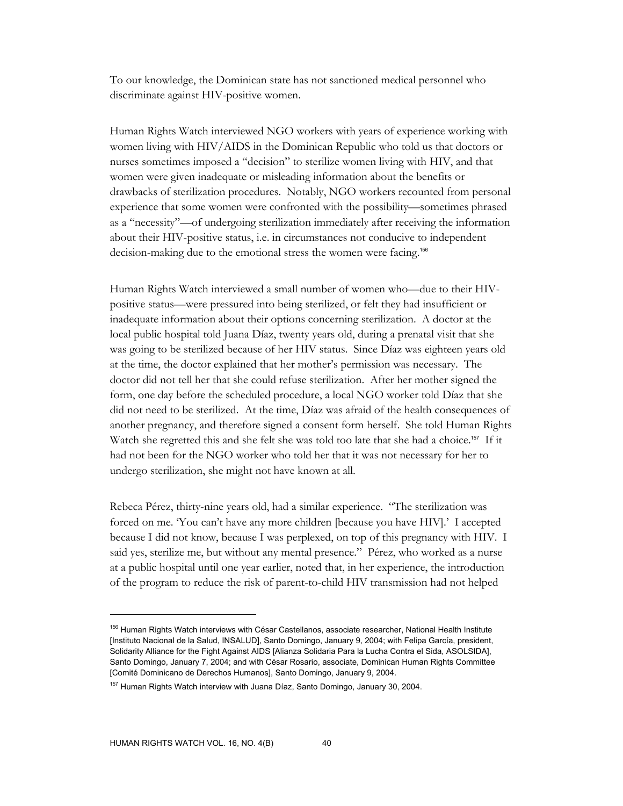To our knowledge, the Dominican state has not sanctioned medical personnel who discriminate against HIV-positive women.

Human Rights Watch interviewed NGO workers with years of experience working with women living with HIV/AIDS in the Dominican Republic who told us that doctors or nurses sometimes imposed a "decision" to sterilize women living with HIV, and that women were given inadequate or misleading information about the benefits or drawbacks of sterilization procedures. Notably, NGO workers recounted from personal experience that some women were confronted with the possibility—sometimes phrased as a "necessity"—of undergoing sterilization immediately after receiving the information about their HIV-positive status, i.e. in circumstances not conducive to independent decision-making due to the emotional stress the women were facing.<sup>156</sup>

Human Rights Watch interviewed a small number of women who—due to their HIVpositive status—were pressured into being sterilized, or felt they had insufficient or inadequate information about their options concerning sterilization. A doctor at the local public hospital told Juana Díaz, twenty years old, during a prenatal visit that she was going to be sterilized because of her HIV status. Since Díaz was eighteen years old at the time, the doctor explained that her mother's permission was necessary. The doctor did not tell her that she could refuse sterilization. After her mother signed the form, one day before the scheduled procedure, a local NGO worker told Díaz that she did not need to be sterilized. At the time, Díaz was afraid of the health consequences of another pregnancy, and therefore signed a consent form herself. She told Human Rights Watch she regretted this and she felt she was told too late that she had a choice.<sup>157</sup> If it had not been for the NGO worker who told her that it was not necessary for her to undergo sterilization, she might not have known at all.

Rebeca Pérez, thirty-nine years old, had a similar experience. "The sterilization was forced on me. 'You can't have any more children [because you have HIV].' I accepted because I did not know, because I was perplexed, on top of this pregnancy with HIV. I said yes, sterilize me, but without any mental presence." Pérez, who worked as a nurse at a public hospital until one year earlier, noted that, in her experience, the introduction of the program to reduce the risk of parent-to-child HIV transmission had not helped

<sup>&</sup>lt;sup>156</sup> Human Rights Watch interviews with César Castellanos, associate researcher, National Health Institute [Instituto Nacional de la Salud, INSALUD], Santo Domingo, January 9, 2004; with Felipa García, president, Solidarity Alliance for the Fight Against AIDS [Alianza Solidaria Para la Lucha Contra el Sida, ASOLSIDA], Santo Domingo, January 7, 2004; and with César Rosario, associate, Dominican Human Rights Committee [Comité Dominicano de Derechos Humanos], Santo Domingo, January 9, 2004.

<sup>&</sup>lt;sup>157</sup> Human Rights Watch interview with Juana Díaz, Santo Domingo, January 30, 2004.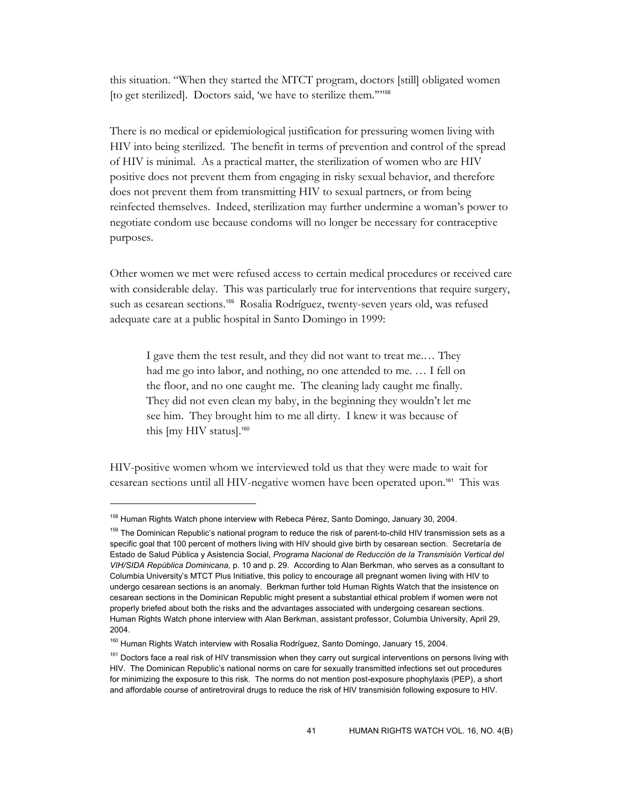this situation. "When they started the MTCT program, doctors [still] obligated women [to get sterilized]. Doctors said, 'we have to sterilize them."<sup>158</sup>

There is no medical or epidemiological justification for pressuring women living with HIV into being sterilized. The benefit in terms of prevention and control of the spread of HIV is minimal. As a practical matter, the sterilization of women who are HIV positive does not prevent them from engaging in risky sexual behavior, and therefore does not prevent them from transmitting HIV to sexual partners, or from being reinfected themselves. Indeed, sterilization may further undermine a woman's power to negotiate condom use because condoms will no longer be necessary for contraceptive purposes.

Other women we met were refused access to certain medical procedures or received care with considerable delay. This was particularly true for interventions that require surgery, such as cesarean sections.159 Rosalia Rodríguez, twenty-seven years old, was refused adequate care at a public hospital in Santo Domingo in 1999:

I gave them the test result, and they did not want to treat me.… They had me go into labor, and nothing, no one attended to me. … I fell on the floor, and no one caught me. The cleaning lady caught me finally. They did not even clean my baby, in the beginning they wouldn't let me see him. They brought him to me all dirty. I knew it was because of this  $[my HIV status].$ <sup>160</sup>

HIV-positive women whom we interviewed told us that they were made to wait for cesarean sections until all HIV-negative women have been operated upon.161 This was

<sup>&</sup>lt;sup>158</sup> Human Rights Watch phone interview with Rebeca Pérez, Santo Domingo, January 30, 2004.

<sup>&</sup>lt;sup>159</sup> The Dominican Republic's national program to reduce the risk of parent-to-child HIV transmission sets as a specific goal that 100 percent of mothers living with HIV should give birth by cesarean section. Secretaría de Estado de Salud Pública y Asistencia Social, *Programa Nacional de Reducción de la Transmisión Vertical del VIH/SIDA República Dominicana,* p. 10 and p. 29. According to Alan Berkman, who serves as a consultant to Columbia University's MTCT Plus Initiative, this policy to encourage all pregnant women living with HIV to undergo cesarean sections is an anomaly. Berkman further told Human Rights Watch that the insistence on cesarean sections in the Dominican Republic might present a substantial ethical problem if women were not properly briefed about both the risks and the advantages associated with undergoing cesarean sections. Human Rights Watch phone interview with Alan Berkman, assistant professor, Columbia University, April 29, 2004.

<sup>&</sup>lt;sup>160</sup> Human Rights Watch interview with Rosalia Rodríguez, Santo Domingo, January 15, 2004.

<sup>&</sup>lt;sup>161</sup> Doctors face a real risk of HIV transmission when they carry out surgical interventions on persons living with HIV. The Dominican Republic's national norms on care for sexually transmitted infections set out procedures for minimizing the exposure to this risk. The norms do not mention post-exposure phophylaxis (PEP), a short and affordable course of antiretroviral drugs to reduce the risk of HIV transmisión following exposure to HIV.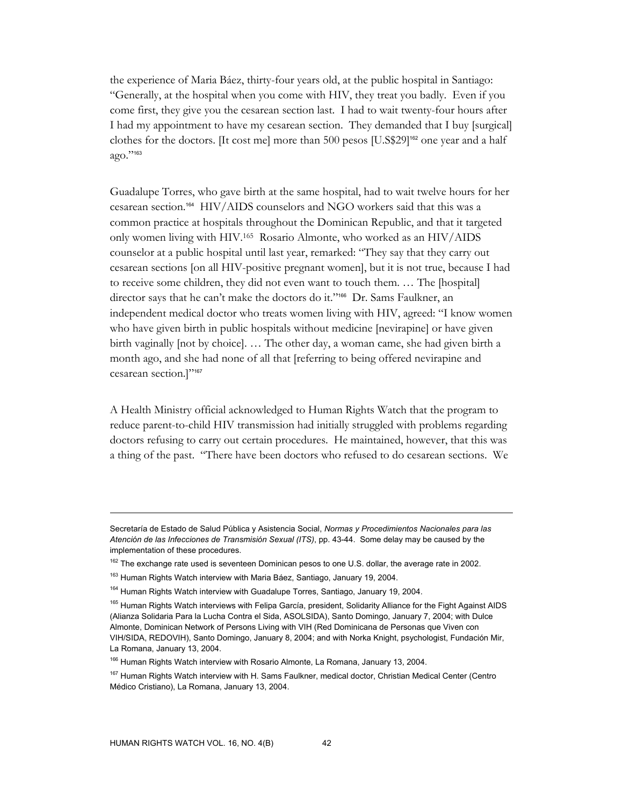the experience of Maria Báez, thirty-four years old, at the public hospital in Santiago: "Generally, at the hospital when you come with HIV, they treat you badly. Even if you come first, they give you the cesarean section last. I had to wait twenty-four hours after I had my appointment to have my cesarean section. They demanded that I buy [surgical] clothes for the doctors. [It cost me] more than 500 pesos [U.S\$29]<sup>162</sup> one year and a half ago."<sup>163</sup>

Guadalupe Torres, who gave birth at the same hospital, had to wait twelve hours for her cesarean section.164 HIV/AIDS counselors and NGO workers said that this was a common practice at hospitals throughout the Dominican Republic, and that it targeted only women living with HIV.165 Rosario Almonte, who worked as an HIV/AIDS counselor at a public hospital until last year, remarked: "They say that they carry out cesarean sections [on all HIV-positive pregnant women], but it is not true, because I had to receive some children, they did not even want to touch them. … The [hospital] director says that he can't make the doctors do it."<sup>166</sup> Dr. Sams Faulkner, an independent medical doctor who treats women living with HIV, agreed: "I know women who have given birth in public hospitals without medicine [nevirapine] or have given birth vaginally [not by choice]. … The other day, a woman came, she had given birth a month ago, and she had none of all that [referring to being offered nevirapine and cesarean section.]"<sup>167</sup>

A Health Ministry official acknowledged to Human Rights Watch that the program to reduce parent-to-child HIV transmission had initially struggled with problems regarding doctors refusing to carry out certain procedures. He maintained, however, that this was a thing of the past. "There have been doctors who refused to do cesarean sections. We

 $\ddot{\phantom{a}}$ 

Secretaría de Estado de Salud Pública y Asistencia Social, *Normas y Procedimientos Nacionales para las Atención de las Infecciones de Transmisión Sexual (ITS)*, pp. 43-44. Some delay may be caused by the implementation of these procedures.

 $162$  The exchange rate used is seventeen Dominican pesos to one U.S. dollar, the average rate in 2002.

<sup>&</sup>lt;sup>163</sup> Human Rights Watch interview with Maria Báez, Santiago, January 19, 2004.

<sup>&</sup>lt;sup>164</sup> Human Rights Watch interview with Guadalupe Torres, Santiago, January 19, 2004.

<sup>&</sup>lt;sup>165</sup> Human Rights Watch interviews with Felipa García, president, Solidarity Alliance for the Fight Against AIDS (Alianza Solidaria Para la Lucha Contra el Sida, ASOLSIDA), Santo Domingo, January 7, 2004; with Dulce Almonte, Dominican Network of Persons Living with VIH (Red Dominicana de Personas que Viven con VIH/SIDA, REDOVIH), Santo Domingo, January 8, 2004; and with Norka Knight, psychologist, Fundación Mir, La Romana, January 13, 2004.

<sup>&</sup>lt;sup>166</sup> Human Rights Watch interview with Rosario Almonte, La Romana, January 13, 2004.

<sup>&</sup>lt;sup>167</sup> Human Rights Watch interview with H. Sams Faulkner, medical doctor, Christian Medical Center (Centro Médico Cristiano), La Romana, January 13, 2004.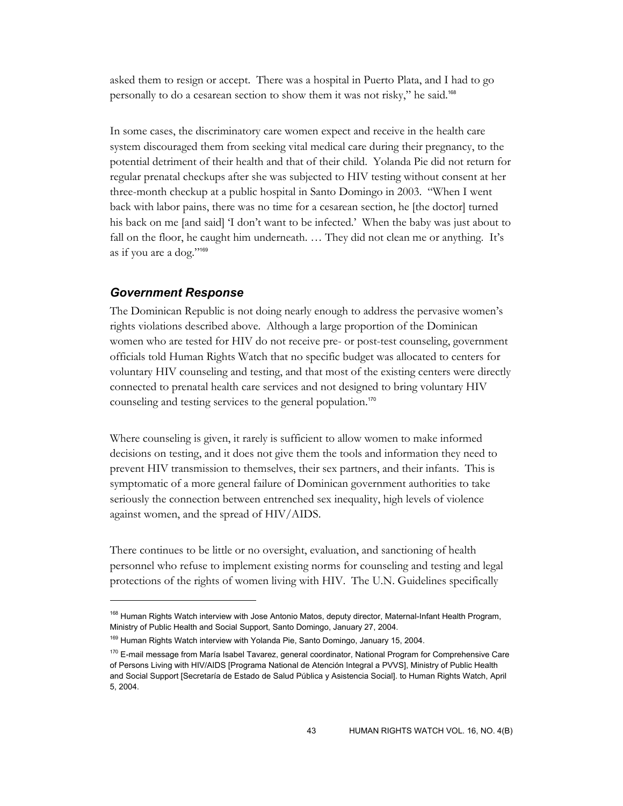asked them to resign or accept. There was a hospital in Puerto Plata, and I had to go personally to do a cesarean section to show them it was not risky," he said.<sup>168</sup>

In some cases, the discriminatory care women expect and receive in the health care system discouraged them from seeking vital medical care during their pregnancy, to the potential detriment of their health and that of their child. Yolanda Pie did not return for regular prenatal checkups after she was subjected to HIV testing without consent at her three-month checkup at a public hospital in Santo Domingo in 2003. "When I went back with labor pains, there was no time for a cesarean section, he [the doctor] turned his back on me [and said] 'I don't want to be infected.' When the baby was just about to fall on the floor, he caught him underneath. … They did not clean me or anything. It's as if you are a dog."<sup>169</sup>

#### *Government Response*

-

The Dominican Republic is not doing nearly enough to address the pervasive women's rights violations described above. Although a large proportion of the Dominican women who are tested for HIV do not receive pre- or post-test counseling, government officials told Human Rights Watch that no specific budget was allocated to centers for voluntary HIV counseling and testing, and that most of the existing centers were directly connected to prenatal health care services and not designed to bring voluntary HIV counseling and testing services to the general population.<sup>170</sup>

Where counseling is given, it rarely is sufficient to allow women to make informed decisions on testing, and it does not give them the tools and information they need to prevent HIV transmission to themselves, their sex partners, and their infants. This is symptomatic of a more general failure of Dominican government authorities to take seriously the connection between entrenched sex inequality, high levels of violence against women, and the spread of HIV/AIDS.

There continues to be little or no oversight, evaluation, and sanctioning of health personnel who refuse to implement existing norms for counseling and testing and legal protections of the rights of women living with HIV. The U.N. Guidelines specifically

<sup>&</sup>lt;sup>168</sup> Human Rights Watch interview with Jose Antonio Matos, deputy director, Maternal-Infant Health Program, Ministry of Public Health and Social Support, Santo Domingo, January 27, 2004.

<sup>&</sup>lt;sup>169</sup> Human Rights Watch interview with Yolanda Pie, Santo Domingo, January 15, 2004.

<sup>&</sup>lt;sup>170</sup> E-mail message from María Isabel Tavarez, general coordinator, National Program for Comprehensive Care of Persons Living with HIV/AIDS [Programa National de Atención Integral a PVVS], Ministry of Public Health and Social Support [Secretaría de Estado de Salud Pública y Asistencia Social]. to Human Rights Watch, April 5, 2004.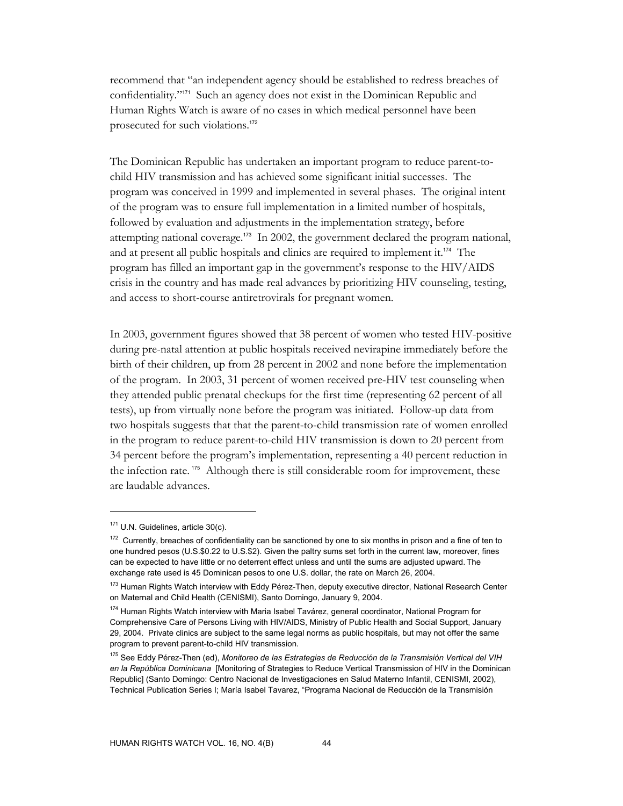recommend that "an independent agency should be established to redress breaches of confidentiality."171 Such an agency does not exist in the Dominican Republic and Human Rights Watch is aware of no cases in which medical personnel have been prosecuted for such violations.<sup>172</sup>

The Dominican Republic has undertaken an important program to reduce parent-tochild HIV transmission and has achieved some significant initial successes. The program was conceived in 1999 and implemented in several phases. The original intent of the program was to ensure full implementation in a limited number of hospitals, followed by evaluation and adjustments in the implementation strategy, before attempting national coverage.<sup>173</sup> In 2002, the government declared the program national, and at present all public hospitals and clinics are required to implement it.174 The program has filled an important gap in the government's response to the HIV/AIDS crisis in the country and has made real advances by prioritizing HIV counseling, testing, and access to short-course antiretrovirals for pregnant women.

In 2003, government figures showed that 38 percent of women who tested HIV-positive during pre-natal attention at public hospitals received nevirapine immediately before the birth of their children, up from 28 percent in 2002 and none before the implementation of the program. In 2003, 31 percent of women received pre-HIV test counseling when they attended public prenatal checkups for the first time (representing 62 percent of all tests), up from virtually none before the program was initiated. Follow-up data from two hospitals suggests that that the parent-to-child transmission rate of women enrolled in the program to reduce parent-to-child HIV transmission is down to 20 percent from 34 percent before the program's implementation, representing a 40 percent reduction in the infection rate.<sup>175</sup> Although there is still considerable room for improvement, these are laudable advances.

<sup>&</sup>lt;sup>171</sup> U.N. Guidelines, article 30(c).

 $172$  Currently, breaches of confidentiality can be sanctioned by one to six months in prison and a fine of ten to one hundred pesos (U.S.\$0.22 to U.S.\$2). Given the paltry sums set forth in the current law, moreover, fines can be expected to have little or no deterrent effect unless and until the sums are adjusted upward. The exchange rate used is 45 Dominican pesos to one U.S. dollar, the rate on March 26, 2004.

<sup>&</sup>lt;sup>173</sup> Human Rights Watch interview with Eddy Pérez-Then, deputy executive director, National Research Center on Maternal and Child Health (CENISMI), Santo Domingo, January 9, 2004.

<sup>&</sup>lt;sup>174</sup> Human Rights Watch interview with Maria Isabel Tavárez, general coordinator, National Program for Comprehensive Care of Persons Living with HIV/AIDS, Ministry of Public Health and Social Support, January 29, 2004. Private clinics are subject to the same legal norms as public hospitals, but may not offer the same program to prevent parent-to-child HIV transmission.

<sup>175</sup> See Eddy Pérez-Then (ed), *Monitoreo de las Estrategias de Reducción de la Transmisión Vertical del VIH en la República Dominicana* [Monitoring of Strategies to Reduce Vertical Transmission of HIV in the Dominican Republic] (Santo Domingo: Centro Nacional de Investigaciones en Salud Materno Infantil, CENISMI, 2002), Technical Publication Series I; María Isabel Tavarez, "Programa Nacional de Reducción de la Transmisión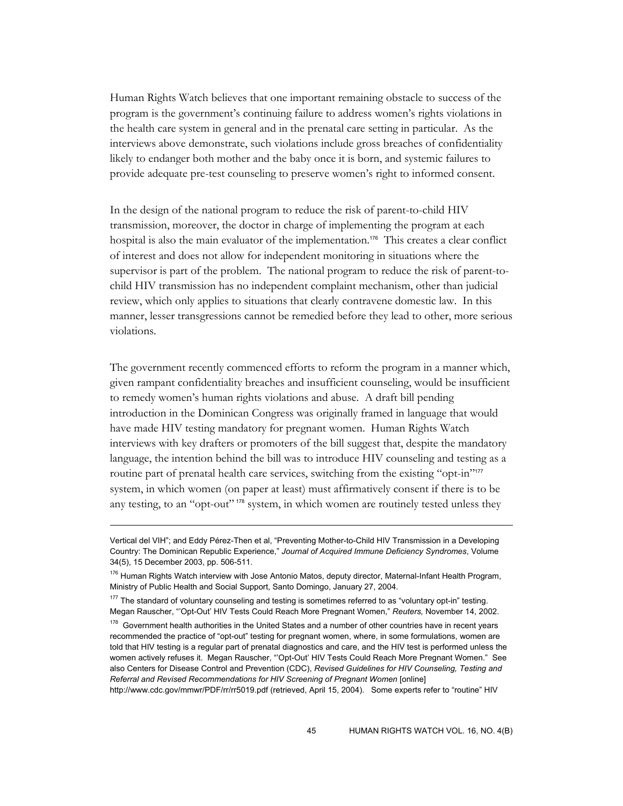Human Rights Watch believes that one important remaining obstacle to success of the program is the government's continuing failure to address women's rights violations in the health care system in general and in the prenatal care setting in particular. As the interviews above demonstrate, such violations include gross breaches of confidentiality likely to endanger both mother and the baby once it is born, and systemic failures to provide adequate pre-test counseling to preserve women's right to informed consent.

In the design of the national program to reduce the risk of parent-to-child HIV transmission, moreover, the doctor in charge of implementing the program at each hospital is also the main evaluator of the implementation.<sup>176</sup> This creates a clear conflict of interest and does not allow for independent monitoring in situations where the supervisor is part of the problem. The national program to reduce the risk of parent-tochild HIV transmission has no independent complaint mechanism, other than judicial review, which only applies to situations that clearly contravene domestic law. In this manner, lesser transgressions cannot be remedied before they lead to other, more serious violations.

The government recently commenced efforts to reform the program in a manner which, given rampant confidentiality breaches and insufficient counseling, would be insufficient to remedy women's human rights violations and abuse. A draft bill pending introduction in the Dominican Congress was originally framed in language that would have made HIV testing mandatory for pregnant women. Human Rights Watch interviews with key drafters or promoters of the bill suggest that, despite the mandatory language, the intention behind the bill was to introduce HIV counseling and testing as a routine part of prenatal health care services, switching from the existing "opt-in"<sup>177</sup> system, in which women (on paper at least) must affirmatively consent if there is to be any testing, to an "opt-out"<sup>178</sup> system, in which women are routinely tested unless they

-

http://www.cdc.gov/mmwr/PDF/rr/rr5019.pdf (retrieved, April 15, 2004). Some experts refer to "routine" HIV

Vertical del VIH"; and Eddy Pérez-Then et al, "Preventing Mother-to-Child HIV Transmission in a Developing Country: The Dominican Republic Experience," *Journal of Acquired Immune Deficiency Syndromes*, Volume 34(5), 15 December 2003, pp. 506-511.

<sup>&</sup>lt;sup>176</sup> Human Rights Watch interview with Jose Antonio Matos, deputy director, Maternal-Infant Health Program, Ministry of Public Health and Social Support, Santo Domingo, January 27, 2004.

<sup>&</sup>lt;sup>177</sup> The standard of voluntary counseling and testing is sometimes referred to as "voluntary opt-in" testing. Megan Rauscher, "'Opt-Out' HIV Tests Could Reach More Pregnant Women," *Reuters,* November 14, 2002.

<sup>178</sup> Government health authorities in the United States and a number of other countries have in recent years recommended the practice of "opt-out" testing for pregnant women, where, in some formulations, women are told that HIV testing is a regular part of prenatal diagnostics and care, and the HIV test is performed unless the women actively refuses it. Megan Rauscher, "'Opt-Out' HIV Tests Could Reach More Pregnant Women." See also Centers for Disease Control and Prevention (CDC), *Revised Guidelines for HIV Counseling, Testing and Referral and Revised Recommendations for HIV Screening of Pregnant Women* [online]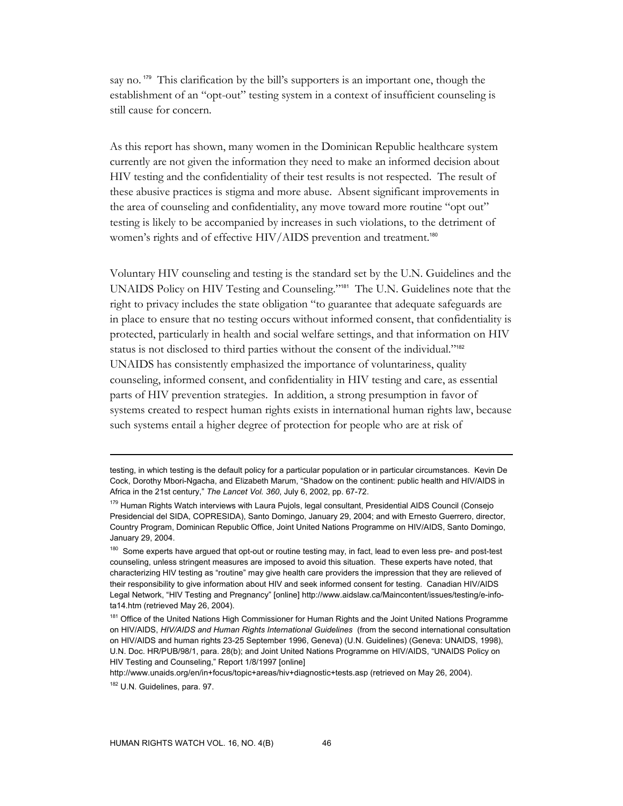say no.<sup>179</sup> This clarification by the bill's supporters is an important one, though the establishment of an "opt-out" testing system in a context of insufficient counseling is still cause for concern.

As this report has shown, many women in the Dominican Republic healthcare system currently are not given the information they need to make an informed decision about HIV testing and the confidentiality of their test results is not respected. The result of these abusive practices is stigma and more abuse. Absent significant improvements in the area of counseling and confidentiality, any move toward more routine "opt out" testing is likely to be accompanied by increases in such violations, to the detriment of women's rights and of effective HIV/AIDS prevention and treatment.<sup>180</sup>

Voluntary HIV counseling and testing is the standard set by the U.N. Guidelines and the UNAIDS Policy on HIV Testing and Counseling."181 The U.N. Guidelines note that the right to privacy includes the state obligation "to guarantee that adequate safeguards are in place to ensure that no testing occurs without informed consent, that confidentiality is protected, particularly in health and social welfare settings, and that information on HIV status is not disclosed to third parties without the consent of the individual."<sup>182</sup> UNAIDS has consistently emphasized the importance of voluntariness, quality counseling, informed consent, and confidentiality in HIV testing and care, as essential parts of HIV prevention strategies. In addition, a strong presumption in favor of systems created to respect human rights exists in international human rights law, because such systems entail a higher degree of protection for people who are at risk of

http://www.unaids.org/en/in+focus/topic+areas/hiv+diagnostic+tests.asp (retrieved on May 26, 2004).

testing, in which testing is the default policy for a particular population or in particular circumstances. Kevin De Cock, Dorothy Mbori-Ngacha, and Elizabeth Marum, "Shadow on the continent: public health and HIV/AIDS in Africa in the 21st century," *The Lancet Vol. 360*, July 6, 2002, pp. 67-72.

<sup>&</sup>lt;sup>179</sup> Human Rights Watch interviews with Laura Pujols, legal consultant, Presidential AIDS Council (Consejo Presidencial del SIDA, COPRESIDA), Santo Domingo, January 29, 2004; and with Ernesto Guerrero, director, Country Program, Dominican Republic Office, Joint United Nations Programme on HIV/AIDS, Santo Domingo, January 29, 2004.

<sup>&</sup>lt;sup>180</sup> Some experts have argued that opt-out or routine testing may, in fact, lead to even less pre- and post-test counseling, unless stringent measures are imposed to avoid this situation. These experts have noted, that characterizing HIV testing as "routine" may give health care providers the impression that they are relieved of their responsibility to give information about HIV and seek informed consent for testing. Canadian HIV/AIDS Legal Network, "HIV Testing and Pregnancy" [online] http://www.aidslaw.ca/Maincontent/issues/testing/e-infota14.htm (retrieved May 26, 2004).

<sup>&</sup>lt;sup>181</sup> Office of the United Nations High Commissioner for Human Rights and the Joint United Nations Programme on HIV/AIDS, *HIV/AIDS and Human Rights International Guidelines* (from the second international consultation on HIV/AIDS and human rights 23-25 September 1996, Geneva) (U.N. Guidelines) (Geneva: UNAIDS, 1998), U.N. Doc. HR/PUB/98/1, para. 28(b); and Joint United Nations Programme on HIV/AIDS, "UNAIDS Policy on HIV Testing and Counseling," Report 1/8/1997 [online]

<sup>182</sup> U.N. Guidelines, para. 97.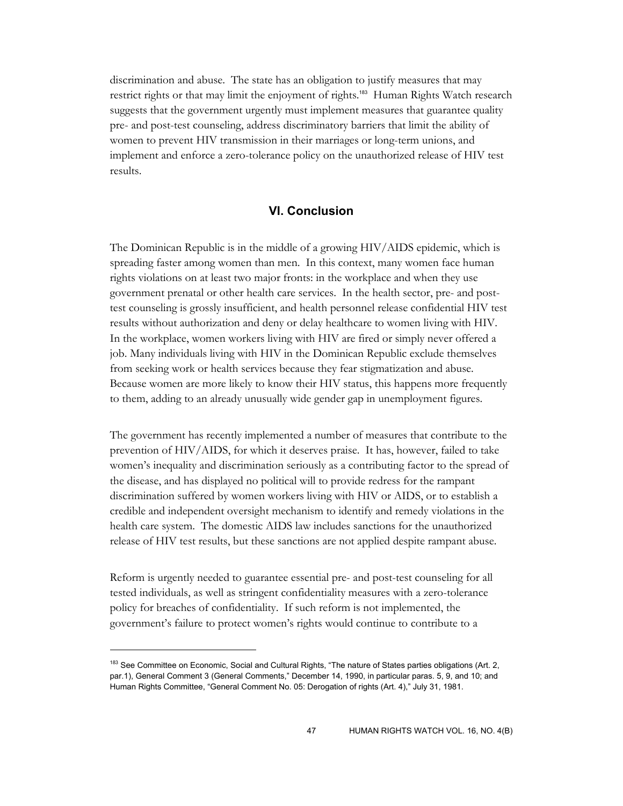discrimination and abuse. The state has an obligation to justify measures that may restrict rights or that may limit the enjoyment of rights.<sup>183</sup> Human Rights Watch research suggests that the government urgently must implement measures that guarantee quality pre- and post-test counseling, address discriminatory barriers that limit the ability of women to prevent HIV transmission in their marriages or long-term unions, and implement and enforce a zero-tolerance policy on the unauthorized release of HIV test results.

## **VI. Conclusion**

The Dominican Republic is in the middle of a growing HIV/AIDS epidemic, which is spreading faster among women than men. In this context, many women face human rights violations on at least two major fronts: in the workplace and when they use government prenatal or other health care services. In the health sector, pre- and posttest counseling is grossly insufficient, and health personnel release confidential HIV test results without authorization and deny or delay healthcare to women living with HIV. In the workplace, women workers living with HIV are fired or simply never offered a job. Many individuals living with HIV in the Dominican Republic exclude themselves from seeking work or health services because they fear stigmatization and abuse. Because women are more likely to know their HIV status, this happens more frequently to them, adding to an already unusually wide gender gap in unemployment figures.

The government has recently implemented a number of measures that contribute to the prevention of HIV/AIDS, for which it deserves praise. It has, however, failed to take women's inequality and discrimination seriously as a contributing factor to the spread of the disease, and has displayed no political will to provide redress for the rampant discrimination suffered by women workers living with HIV or AIDS, or to establish a credible and independent oversight mechanism to identify and remedy violations in the health care system. The domestic AIDS law includes sanctions for the unauthorized release of HIV test results, but these sanctions are not applied despite rampant abuse.

Reform is urgently needed to guarantee essential pre- and post-test counseling for all tested individuals, as well as stringent confidentiality measures with a zero-tolerance policy for breaches of confidentiality. If such reform is not implemented, the government's failure to protect women's rights would continue to contribute to a

<sup>&</sup>lt;sup>183</sup> See Committee on Economic, Social and Cultural Rights, "The nature of States parties obligations (Art. 2, par.1), General Comment 3 (General Comments," December 14, 1990, in particular paras. 5, 9, and 10; and Human Rights Committee, "General Comment No. 05: Derogation of rights (Art. 4)," July 31, 1981.